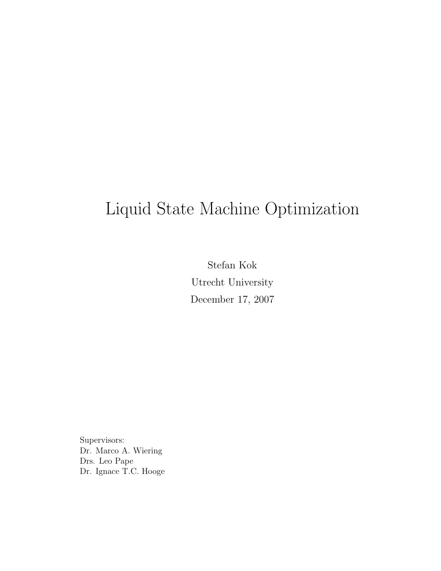# Liquid State Machine Optimization

Stefan Kok Utrecht University December 17, 2007

Supervisors: Dr. Marco A. Wiering Drs. Leo Pape Dr. Ignace T.C. Hooge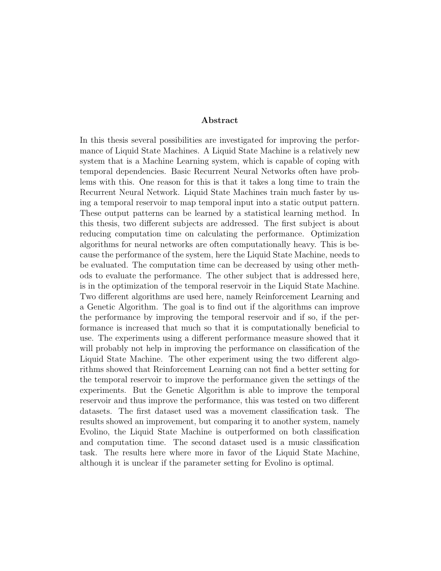#### Abstract

In this thesis several possibilities are investigated for improving the performance of Liquid State Machines. A Liquid State Machine is a relatively new system that is a Machine Learning system, which is capable of coping with temporal dependencies. Basic Recurrent Neural Networks often have problems with this. One reason for this is that it takes a long time to train the Recurrent Neural Network. Liquid State Machines train much faster by using a temporal reservoir to map temporal input into a static output pattern. These output patterns can be learned by a statistical learning method. In this thesis, two different subjects are addressed. The first subject is about reducing computation time on calculating the performance. Optimization algorithms for neural networks are often computationally heavy. This is because the performance of the system, here the Liquid State Machine, needs to be evaluated. The computation time can be decreased by using other methods to evaluate the performance. The other subject that is addressed here, is in the optimization of the temporal reservoir in the Liquid State Machine. Two different algorithms are used here, namely Reinforcement Learning and a Genetic Algorithm. The goal is to find out if the algorithms can improve the performance by improving the temporal reservoir and if so, if the performance is increased that much so that it is computationally beneficial to use. The experiments using a different performance measure showed that it will probably not help in improving the performance on classification of the Liquid State Machine. The other experiment using the two different algorithms showed that Reinforcement Learning can not find a better setting for the temporal reservoir to improve the performance given the settings of the experiments. But the Genetic Algorithm is able to improve the temporal reservoir and thus improve the performance, this was tested on two different datasets. The first dataset used was a movement classification task. The results showed an improvement, but comparing it to another system, namely Evolino, the Liquid State Machine is outperformed on both classification and computation time. The second dataset used is a music classification task. The results here where more in favor of the Liquid State Machine, although it is unclear if the parameter setting for Evolino is optimal.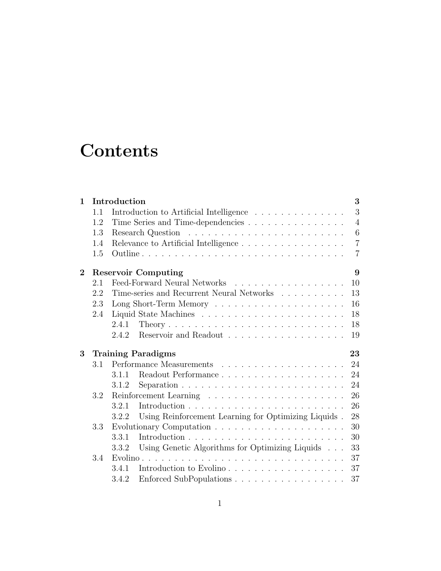# **Contents**

| $\mathbf{1}$   | Introduction<br>3               |                                                                                     |                |  |  |  |  |
|----------------|---------------------------------|-------------------------------------------------------------------------------------|----------------|--|--|--|--|
|                | 1.1                             | Introduction to Artificial Intelligence                                             | 3              |  |  |  |  |
|                | 1.2                             | Time Series and Time-dependencies                                                   | $\overline{4}$ |  |  |  |  |
|                | 1.3                             |                                                                                     | 6              |  |  |  |  |
|                | 1.4                             | Relevance to Artificial Intelligence                                                | $\overline{7}$ |  |  |  |  |
|                | 1.5                             |                                                                                     | $\overline{7}$ |  |  |  |  |
| $\overline{2}$ | <b>Reservoir Computing</b>      |                                                                                     |                |  |  |  |  |
|                | 2.1                             | Feed-Forward Neural Networks<br>10                                                  |                |  |  |  |  |
|                | 2.2                             | Time-series and Recurrent Neural Networks<br>13                                     |                |  |  |  |  |
|                | 2.3                             | 16                                                                                  |                |  |  |  |  |
|                | 2.4                             | 18                                                                                  |                |  |  |  |  |
|                |                                 | 18<br>2.4.1                                                                         |                |  |  |  |  |
|                |                                 | 2.4.2<br>19                                                                         |                |  |  |  |  |
| 3              | <b>Training Paradigms</b><br>23 |                                                                                     |                |  |  |  |  |
|                | 3.1                             | 24                                                                                  |                |  |  |  |  |
|                |                                 | 24<br>3.1.1                                                                         |                |  |  |  |  |
|                |                                 | Separation $\ldots \ldots \ldots \ldots \ldots \ldots \ldots \ldots$<br>24<br>3.1.2 |                |  |  |  |  |
|                | 3.2                             | 26                                                                                  |                |  |  |  |  |
|                |                                 | 3.2.1<br>26                                                                         |                |  |  |  |  |
|                |                                 | Using Reinforcement Learning for Optimizing Liquids .<br>28<br>3.2.2                |                |  |  |  |  |
|                | 3.3                             | 30                                                                                  |                |  |  |  |  |
|                |                                 | 3.3.1<br>30                                                                         |                |  |  |  |  |
|                |                                 | Using Genetic Algorithms for Optimizing Liquids<br>33<br>3.3.2                      |                |  |  |  |  |
|                | 3.4                             | 37                                                                                  |                |  |  |  |  |
|                |                                 | Introduction to Evolino<br>37<br>3.4.1                                              |                |  |  |  |  |
|                |                                 | 37<br>3.4.2                                                                         |                |  |  |  |  |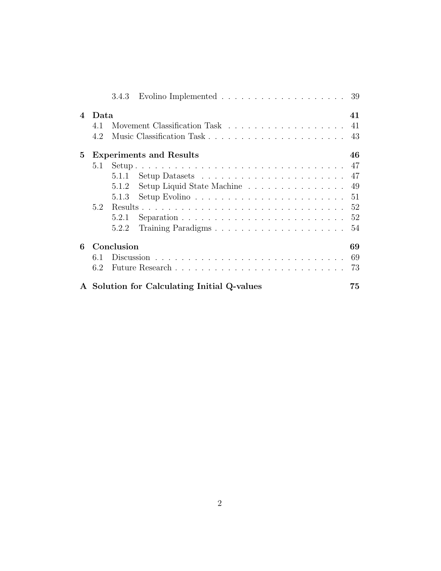|                            |                                      | 3.4.3 | Evolino Implemented $\ldots \ldots \ldots \ldots \ldots \ldots \ldots 39$ |    |  |  |
|----------------------------|--------------------------------------|-------|---------------------------------------------------------------------------|----|--|--|
| $\boldsymbol{\mathcal{A}}$ | 41<br>Data                           |       |                                                                           |    |  |  |
|                            | 4.1                                  |       |                                                                           | 41 |  |  |
|                            | 4.2                                  |       | Music Classification Task                                                 | 43 |  |  |
| $5\overline{)}$            | <b>Experiments and Results</b><br>46 |       |                                                                           |    |  |  |
|                            | 5.1                                  |       |                                                                           |    |  |  |
|                            |                                      | 5.1.1 |                                                                           | 47 |  |  |
|                            |                                      | 5.1.2 | Setup Liquid State Machine                                                | 49 |  |  |
|                            |                                      | 5.1.3 |                                                                           | 51 |  |  |
|                            | 5.2                                  |       |                                                                           | 52 |  |  |
|                            |                                      | 5.2.1 | Separation $\ldots \ldots \ldots \ldots \ldots \ldots \ldots \ldots$      | 52 |  |  |
|                            |                                      | 5.2.2 |                                                                           | 54 |  |  |
| 6                          | Conclusion                           |       |                                                                           |    |  |  |
|                            | 6.1                                  |       |                                                                           | 69 |  |  |
|                            | 6.2                                  |       |                                                                           | 73 |  |  |
|                            |                                      |       | A Solution for Calculating Initial Q-values                               | 75 |  |  |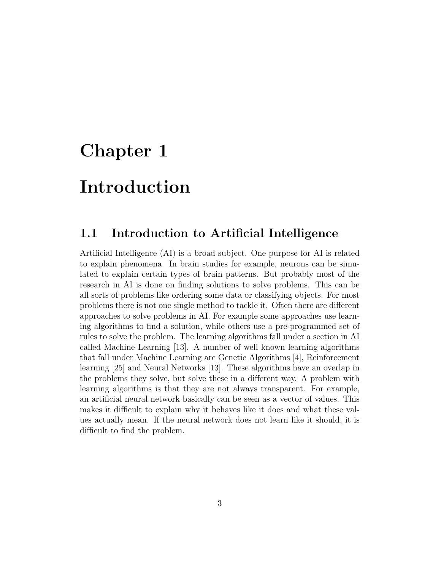# <span id="page-4-0"></span>Chapter 1

# Introduction

### <span id="page-4-1"></span>1.1 Introduction to Artificial Intelligence

Artificial Intelligence (AI) is a broad subject. One purpose for AI is related to explain phenomena. In brain studies for example, neurons can be simulated to explain certain types of brain patterns. But probably most of the research in AI is done on finding solutions to solve problems. This can be all sorts of problems like ordering some data or classifying objects. For most problems there is not one single method to tackle it. Often there are different approaches to solve problems in AI. For example some approaches use learning algorithms to find a solution, while others use a pre-programmed set of rules to solve the problem. The learning algorithms fall under a section in AI called Machine Learning [\[13\]](#page-80-0). A number of well known learning algorithms that fall under Machine Learning are Genetic Algorithms [\[4\]](#page-79-0), Reinforcement learning [\[25\]](#page-81-0) and Neural Networks [\[13\]](#page-80-0). These algorithms have an overlap in the problems they solve, but solve these in a different way. A problem with learning algorithms is that they are not always transparent. For example, an artificial neural network basically can be seen as a vector of values. This makes it difficult to explain why it behaves like it does and what these values actually mean. If the neural network does not learn like it should, it is difficult to find the problem.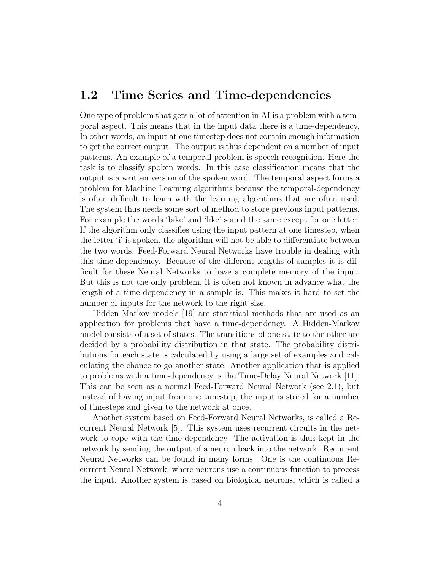#### <span id="page-5-0"></span>1.2 Time Series and Time-dependencies

One type of problem that gets a lot of attention in AI is a problem with a temporal aspect. This means that in the input data there is a time-dependency. In other words, an input at one timestep does not contain enough information to get the correct output. The output is thus dependent on a number of input patterns. An example of a temporal problem is speech-recognition. Here the task is to classify spoken words. In this case classification means that the output is a written version of the spoken word. The temporal aspect forms a problem for Machine Learning algorithms because the temporal-dependency is often difficult to learn with the learning algorithms that are often used. The system thus needs some sort of method to store previous input patterns. For example the words 'bike' and 'like' sound the same except for one letter. If the algorithm only classifies using the input pattern at one timestep, when the letter 'i' is spoken, the algorithm will not be able to differentiate between the two words. Feed-Forward Neural Networks have trouble in dealing with this time-dependency. Because of the different lengths of samples it is difficult for these Neural Networks to have a complete memory of the input. But this is not the only problem, it is often not known in advance what the length of a time-dependency in a sample is. This makes it hard to set the number of inputs for the network to the right size.

Hidden-Markov models [\[19\]](#page-80-1) are statistical methods that are used as an application for problems that have a time-dependency. A Hidden-Markov model consists of a set of states. The transitions of one state to the other are decided by a probability distribution in that state. The probability distributions for each state is calculated by using a large set of examples and calculating the chance to go another state. Another application that is applied to problems with a time-dependency is the Time-Delay Neural Network [\[11\]](#page-80-2). This can be seen as a normal Feed-Forward Neural Network (see [2.1\)](#page-11-0), but instead of having input from one timestep, the input is stored for a number of timesteps and given to the network at once.

Another system based on Feed-Forward Neural Networks, is called a Recurrent Neural Network [\[5\]](#page-79-1). This system uses recurrent circuits in the network to cope with the time-dependency. The activation is thus kept in the network by sending the output of a neuron back into the network. Recurrent Neural Networks can be found in many forms. One is the continuous Recurrent Neural Network, where neurons use a continuous function to process the input. Another system is based on biological neurons, which is called a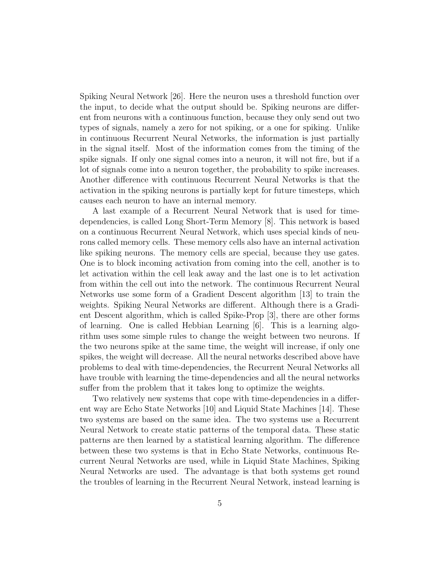Spiking Neural Network [\[26\]](#page-81-1). Here the neuron uses a threshold function over the input, to decide what the output should be. Spiking neurons are different from neurons with a continuous function, because they only send out two types of signals, namely a zero for not spiking, or a one for spiking. Unlike in continuous Recurrent Neural Networks, the information is just partially in the signal itself. Most of the information comes from the timing of the spike signals. If only one signal comes into a neuron, it will not fire, but if a lot of signals come into a neuron together, the probability to spike increases. Another difference with continuous Recurrent Neural Networks is that the activation in the spiking neurons is partially kept for future timesteps, which causes each neuron to have an internal memory.

A last example of a Recurrent Neural Network that is used for timedependencies, is called Long Short-Term Memory [\[8\]](#page-79-2). This network is based on a continuous Recurrent Neural Network, which uses special kinds of neurons called memory cells. These memory cells also have an internal activation like spiking neurons. The memory cells are special, because they use gates. One is to block incoming activation from coming into the cell, another is to let activation within the cell leak away and the last one is to let activation from within the cell out into the network. The continuous Recurrent Neural Networks use some form of a Gradient Descent algorithm [\[13\]](#page-80-0) to train the weights. Spiking Neural Networks are different. Although there is a Gradient Descent algorithm, which is called Spike-Prop [\[3\]](#page-79-3), there are other forms of learning. One is called Hebbian Learning [\[6\]](#page-79-4). This is a learning algorithm uses some simple rules to change the weight between two neurons. If the two neurons spike at the same time, the weight will increase, if only one spikes, the weight will decrease. All the neural networks described above have problems to deal with time-dependencies, the Recurrent Neural Networks all have trouble with learning the time-dependencies and all the neural networks suffer from the problem that it takes long to optimize the weights.

Two relatively new systems that cope with time-dependencies in a different way are Echo State Networks [\[10\]](#page-80-3) and Liquid State Machines [\[14\]](#page-80-4). These two systems are based on the same idea. The two systems use a Recurrent Neural Network to create static patterns of the temporal data. These static patterns are then learned by a statistical learning algorithm. The difference between these two systems is that in Echo State Networks, continuous Recurrent Neural Networks are used, while in Liquid State Machines, Spiking Neural Networks are used. The advantage is that both systems get round the troubles of learning in the Recurrent Neural Network, instead learning is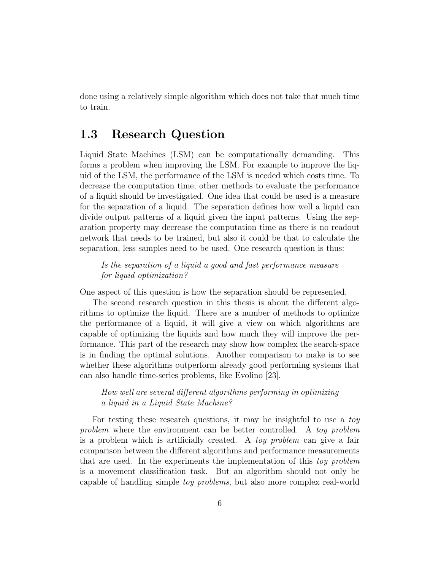done using a relatively simple algorithm which does not take that much time to train.

### <span id="page-7-0"></span>1.3 Research Question

Liquid State Machines (LSM) can be computationally demanding. This forms a problem when improving the LSM. For example to improve the liquid of the LSM, the performance of the LSM is needed which costs time. To decrease the computation time, other methods to evaluate the performance of a liquid should be investigated. One idea that could be used is a measure for the separation of a liquid. The separation defines how well a liquid can divide output patterns of a liquid given the input patterns. Using the separation property may decrease the computation time as there is no readout network that needs to be trained, but also it could be that to calculate the separation, less samples need to be used. One research question is thus:

Is the separation of a liquid a good and fast performance measure for liquid optimization?

One aspect of this question is how the separation should be represented.

The second research question in this thesis is about the different algorithms to optimize the liquid. There are a number of methods to optimize the performance of a liquid, it will give a view on which algorithms are capable of optimizing the liquids and how much they will improve the performance. This part of the research may show how complex the search-space is in finding the optimal solutions. Another comparison to make is to see whether these algorithms outperform already good performing systems that can also handle time-series problems, like Evolino [\[23\]](#page-81-2).

How well are several different algorithms performing in optimizing a liquid in a Liquid State Machine?

For testing these research questions, it may be insightful to use a toy problem where the environment can be better controlled. A toy problem is a problem which is artificially created. A toy problem can give a fair comparison between the different algorithms and performance measurements that are used. In the experiments the implementation of this toy problem is a movement classification task. But an algorithm should not only be capable of handling simple toy problems, but also more complex real-world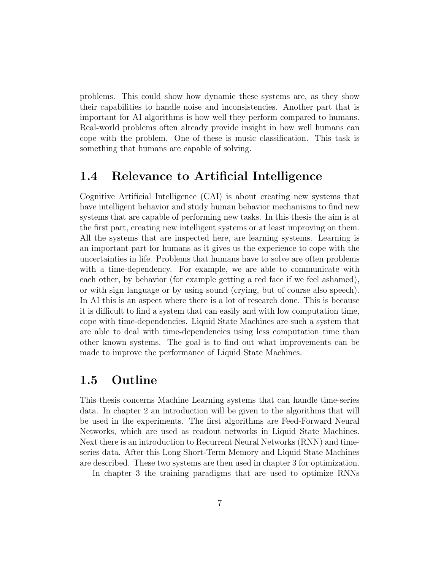problems. This could show how dynamic these systems are, as they show their capabilities to handle noise and inconsistencies. Another part that is important for AI algorithms is how well they perform compared to humans. Real-world problems often already provide insight in how well humans can cope with the problem. One of these is music classification. This task is something that humans are capable of solving.

### <span id="page-8-0"></span>1.4 Relevance to Artificial Intelligence

Cognitive Artificial Intelligence (CAI) is about creating new systems that have intelligent behavior and study human behavior mechanisms to find new systems that are capable of performing new tasks. In this thesis the aim is at the first part, creating new intelligent systems or at least improving on them. All the systems that are inspected here, are learning systems. Learning is an important part for humans as it gives us the experience to cope with the uncertainties in life. Problems that humans have to solve are often problems with a time-dependency. For example, we are able to communicate with each other, by behavior (for example getting a red face if we feel ashamed), or with sign language or by using sound (crying, but of course also speech). In AI this is an aspect where there is a lot of research done. This is because it is difficult to find a system that can easily and with low computation time, cope with time-dependencies. Liquid State Machines are such a system that are able to deal with time-dependencies using less computation time than other known systems. The goal is to find out what improvements can be made to improve the performance of Liquid State Machines.

### <span id="page-8-1"></span>1.5 Outline

This thesis concerns Machine Learning systems that can handle time-series data. In chapter [2](#page-10-0) an introduction will be given to the algorithms that will be used in the experiments. The first algorithms are Feed-Forward Neural Networks, which are used as readout networks in Liquid State Machines. Next there is an introduction to Recurrent Neural Networks (RNN) and timeseries data. After this Long Short-Term Memory and Liquid State Machines are described. These two systems are then used in chapter [3](#page-24-0) for optimization.

In chapter [3](#page-24-0) the training paradigms that are used to optimize RNNs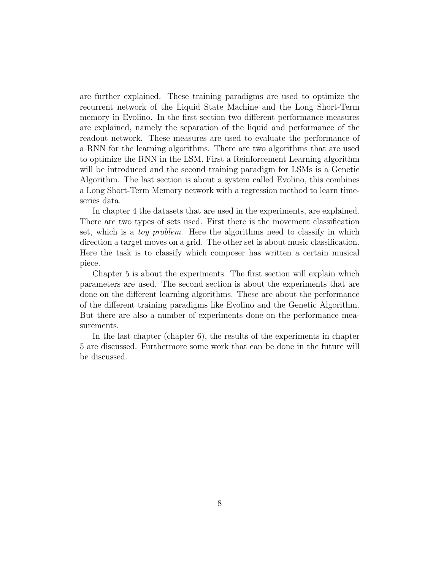are further explained. These training paradigms are used to optimize the recurrent network of the Liquid State Machine and the Long Short-Term memory in Evolino. In the first section two different performance measures are explained, namely the separation of the liquid and performance of the readout network. These measures are used to evaluate the performance of a RNN for the learning algorithms. There are two algorithms that are used to optimize the RNN in the LSM. First a Reinforcement Learning algorithm will be introduced and the second training paradigm for LSMs is a Genetic Algorithm. The last section is about a system called Evolino, this combines a Long Short-Term Memory network with a regression method to learn timeseries data.

In chapter [4](#page-42-0) the datasets that are used in the experiments, are explained. There are two types of sets used. First there is the movement classification set, which is a *toy problem*. Here the algorithms need to classify in which direction a target moves on a grid. The other set is about music classification. Here the task is to classify which composer has written a certain musical piece.

Chapter [5](#page-47-0) is about the experiments. The first section will explain which parameters are used. The second section is about the experiments that are done on the different learning algorithms. These are about the performance of the different training paradigms like Evolino and the Genetic Algorithm. But there are also a number of experiments done on the performance measurements.

In the last chapter (chapter [6\)](#page-70-0), the results of the experiments in chapter [5](#page-47-0) are discussed. Furthermore some work that can be done in the future will be discussed.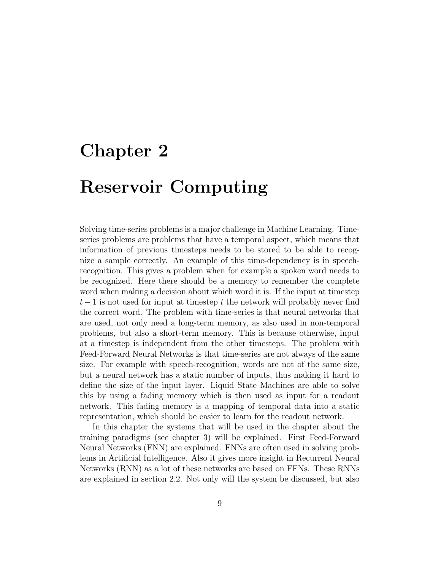# <span id="page-10-0"></span>Chapter 2

# Reservoir Computing

Solving time-series problems is a major challenge in Machine Learning. Timeseries problems are problems that have a temporal aspect, which means that information of previous timesteps needs to be stored to be able to recognize a sample correctly. An example of this time-dependency is in speechrecognition. This gives a problem when for example a spoken word needs to be recognized. Here there should be a memory to remember the complete word when making a decision about which word it is. If the input at timestep  $t-1$  is not used for input at timestep t the network will probably never find the correct word. The problem with time-series is that neural networks that are used, not only need a long-term memory, as also used in non-temporal problems, but also a short-term memory. This is because otherwise, input at a timestep is independent from the other timesteps. The problem with Feed-Forward Neural Networks is that time-series are not always of the same size. For example with speech-recognition, words are not of the same size, but a neural network has a static number of inputs, thus making it hard to define the size of the input layer. Liquid State Machines are able to solve this by using a fading memory which is then used as input for a readout network. This fading memory is a mapping of temporal data into a static representation, which should be easier to learn for the readout network.

In this chapter the systems that will be used in the chapter about the training paradigms (see chapter [3\)](#page-24-0) will be explained. First Feed-Forward Neural Networks (FNN) are explained. FNNs are often used in solving problems in Artificial Intelligence. Also it gives more insight in Recurrent Neural Networks (RNN) as a lot of these networks are based on FFNs. These RNNs are explained in section [2.2.](#page-14-0) Not only will the system be discussed, but also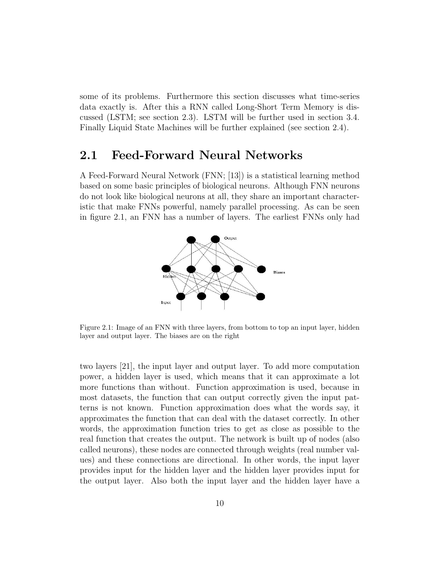some of its problems. Furthermore this section discusses what time-series data exactly is. After this a RNN called Long-Short Term Memory is discussed (LSTM; see section [2.3\)](#page-17-0). LSTM will be further used in section [3.4.](#page-38-0) Finally Liquid State Machines will be further explained (see section [2.4\)](#page-19-0).

#### <span id="page-11-0"></span>2.1 Feed-Forward Neural Networks

<span id="page-11-1"></span>A Feed-Forward Neural Network (FNN; [\[13\]](#page-80-0)) is a statistical learning method based on some basic principles of biological neurons. Although FNN neurons do not look like biological neurons at all, they share an important characteristic that make FNNs powerful, namely parallel processing. As can be seen in figure [2.1,](#page-11-1) an FNN has a number of layers. The earliest FNNs only had



Figure 2.1: Image of an FNN with three layers, from bottom to top an input layer, hidden layer and output layer. The biases are on the right

two layers [\[21\]](#page-81-3), the input layer and output layer. To add more computation power, a hidden layer is used, which means that it can approximate a lot more functions than without. Function approximation is used, because in most datasets, the function that can output correctly given the input patterns is not known. Function approximation does what the words say, it approximates the function that can deal with the dataset correctly. In other words, the approximation function tries to get as close as possible to the real function that creates the output. The network is built up of nodes (also called neurons), these nodes are connected through weights (real number values) and these connections are directional. In other words, the input layer provides input for the hidden layer and the hidden layer provides input for the output layer. Also both the input layer and the hidden layer have a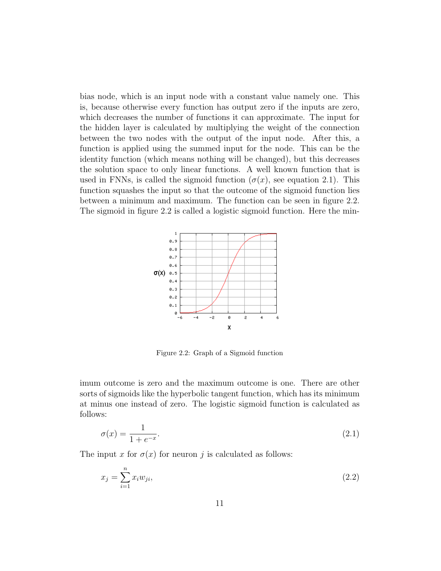bias node, which is an input node with a constant value namely one. This is, because otherwise every function has output zero if the inputs are zero, which decreases the number of functions it can approximate. The input for the hidden layer is calculated by multiplying the weight of the connection between the two nodes with the output of the input node. After this, a function is applied using the summed input for the node. This can be the identity function (which means nothing will be changed), but this decreases the solution space to only linear functions. A well known function that is used in FNNs, is called the sigmoid function  $(\sigma(x))$ , see equation [2.1\)](#page-12-0). This function squashes the input so that the outcome of the sigmoid function lies between a minimum and maximum. The function can be seen in figure [2.2.](#page-12-1) The sigmoid in figure [2.2](#page-12-1) is called a logistic sigmoid function. Here the min-

<span id="page-12-1"></span>

Figure 2.2: Graph of a Sigmoid function

imum outcome is zero and the maximum outcome is one. There are other sorts of sigmoids like the hyperbolic tangent function, which has its minimum at minus one instead of zero. The logistic sigmoid function is calculated as follows:

<span id="page-12-0"></span>
$$
\sigma(x) = \frac{1}{1 + e^{-x}}.\tag{2.1}
$$

The input x for  $\sigma(x)$  for neuron j is calculated as follows:

$$
x_j = \sum_{i=1}^n x_i w_{ji},\tag{2.2}
$$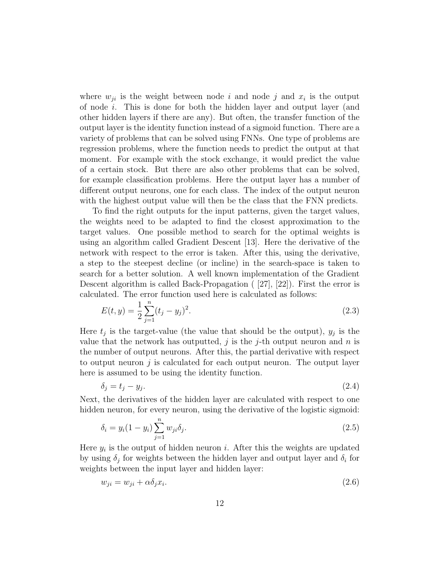where  $w_{ji}$  is the weight between node i and node j and  $x_i$  is the output of node  $i$ . This is done for both the hidden layer and output layer (and other hidden layers if there are any). But often, the transfer function of the output layer is the identity function instead of a sigmoid function. There are a variety of problems that can be solved using FNNs. One type of problems are regression problems, where the function needs to predict the output at that moment. For example with the stock exchange, it would predict the value of a certain stock. But there are also other problems that can be solved, for example classification problems. Here the output layer has a number of different output neurons, one for each class. The index of the output neuron with the highest output value will then be the class that the FNN predicts.

To find the right outputs for the input patterns, given the target values, the weights need to be adapted to find the closest approximation to the target values. One possible method to search for the optimal weights is using an algorithm called Gradient Descent [\[13\]](#page-80-0). Here the derivative of the network with respect to the error is taken. After this, using the derivative, a step to the steepest decline (or incline) in the search-space is taken to search for a better solution. A well known implementation of the Gradient Descent algorithm is called Back-Propagation ( [\[27\]](#page-81-4), [\[22\]](#page-81-5)). First the error is calculated. The error function used here is calculated as follows:

$$
E(t, y) = \frac{1}{2} \sum_{j=1}^{n} (t_j - y_j)^2.
$$
\n(2.3)

Here  $t_j$  is the target-value (the value that should be the output),  $y_j$  is the value that the network has outputted, j is the j-th output neuron and  $n$  is the number of output neurons. After this, the partial derivative with respect to output neuron  $j$  is calculated for each output neuron. The output layer here is assumed to be using the identity function.

$$
\delta_j = t_j - y_j. \tag{2.4}
$$

Next, the derivatives of the hidden layer are calculated with respect to one hidden neuron, for every neuron, using the derivative of the logistic sigmoid:

$$
\delta_i = y_i (1 - y_i) \sum_{j=1}^n w_{ji} \delta_j.
$$
\n(2.5)

Here  $y_i$  is the output of hidden neuron *i*. After this the weights are updated by using  $\delta_j$  for weights between the hidden layer and output layer and  $\delta_i$  for weights between the input layer and hidden layer:

<span id="page-13-0"></span>
$$
w_{ji} = w_{ji} + \alpha \delta_j x_i. \tag{2.6}
$$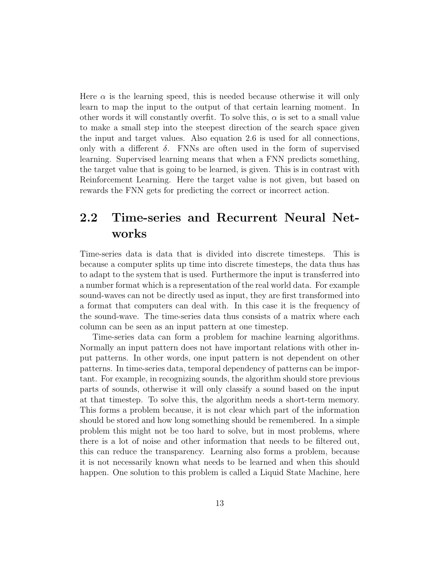Here  $\alpha$  is the learning speed, this is needed because otherwise it will only learn to map the input to the output of that certain learning moment. In other words it will constantly overfit. To solve this,  $\alpha$  is set to a small value to make a small step into the steepest direction of the search space given the input and target values. Also equation [2.6](#page-13-0) is used for all connections, only with a different  $\delta$ . FNNs are often used in the form of supervised learning. Supervised learning means that when a FNN predicts something, the target value that is going to be learned, is given. This is in contrast with Reinforcement Learning. Here the target value is not given, but based on rewards the FNN gets for predicting the correct or incorrect action.

## <span id="page-14-0"></span>2.2 Time-series and Recurrent Neural Networks

Time-series data is data that is divided into discrete timesteps. This is because a computer splits up time into discrete timesteps, the data thus has to adapt to the system that is used. Furthermore the input is transferred into a number format which is a representation of the real world data. For example sound-waves can not be directly used as input, they are first transformed into a format that computers can deal with. In this case it is the frequency of the sound-wave. The time-series data thus consists of a matrix where each column can be seen as an input pattern at one timestep.

Time-series data can form a problem for machine learning algorithms. Normally an input pattern does not have important relations with other input patterns. In other words, one input pattern is not dependent on other patterns. In time-series data, temporal dependency of patterns can be important. For example, in recognizing sounds, the algorithm should store previous parts of sounds, otherwise it will only classify a sound based on the input at that timestep. To solve this, the algorithm needs a short-term memory. This forms a problem because, it is not clear which part of the information should be stored and how long something should be remembered. In a simple problem this might not be too hard to solve, but in most problems, where there is a lot of noise and other information that needs to be filtered out, this can reduce the transparency. Learning also forms a problem, because it is not necessarily known what needs to be learned and when this should happen. One solution to this problem is called a Liquid State Machine, here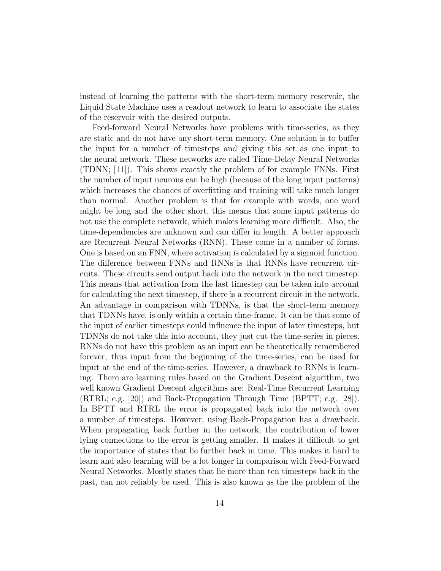instead of learning the patterns with the short-term memory reservoir, the Liquid State Machine uses a readout network to learn to associate the states of the reservoir with the desired outputs.

Feed-forward Neural Networks have problems with time-series, as they are static and do not have any short-term memory. One solution is to buffer the input for a number of timesteps and giving this set as one input to the neural network. These networks are called Time-Delay Neural Networks (TDNN; [\[11\]](#page-80-2)). This shows exactly the problem of for example FNNs. First the number of input neurons can be high (because of the long input patterns) which increases the chances of overfitting and training will take much longer than normal. Another problem is that for example with words, one word might be long and the other short, this means that some input patterns do not use the complete network, which makes learning more difficult. Also, the time-dependencies are unknown and can differ in length. A better approach are Recurrent Neural Networks (RNN). These come in a number of forms. One is based on an FNN, where activation is calculated by a sigmoid function. The difference between FNNs and RNNs is that RNNs have recurrent circuits. These circuits send output back into the network in the next timestep. This means that activation from the last timestep can be taken into account for calculating the next timestep, if there is a recurrent circuit in the network. An advantage in comparison with TDNNs, is that the short-term memory that TDNNs have, is only within a certain time-frame. It can be that some of the input of earlier timesteps could influence the input of later timesteps, but TDNNs do not take this into account, they just cut the time-series in pieces. RNNs do not have this problem as an input can be theoretically remembered forever, thus input from the beginning of the time-series, can be used for input at the end of the time-series. However, a drawback to RNNs is learning. There are learning rules based on the Gradient Descent algorithm, two well known Gradient Descent algorithms are: Real-Time Recurrent Learning (RTRL; e.g. [\[20\]](#page-80-5)) and Back-Propagation Through Time (BPTT; e.g. [\[28\]](#page-81-6)). In BPTT and RTRL the error is propagated back into the network over a number of timesteps. However, using Back-Propagation has a drawback. When propagating back further in the network, the contribution of lower lying connections to the error is getting smaller. It makes it difficult to get the importance of states that lie further back in time. This makes it hard to learn and also learning will be a lot longer in comparison with Feed-Forward Neural Networks. Mostly states that lie more than ten timesteps back in the past, can not reliably be used. This is also known as the the problem of the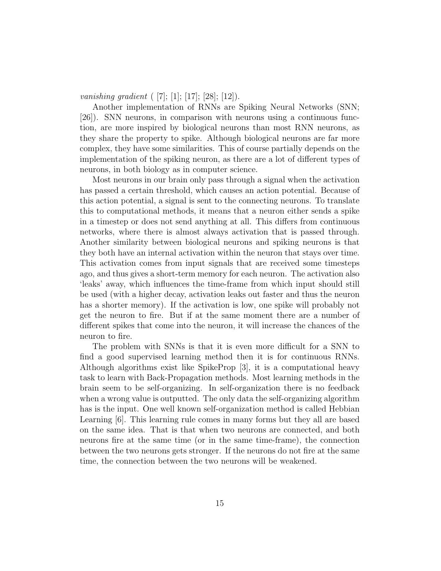vanishing gradient  $([7]; [1]; [17]; [28]; [12]).$  $([7]; [1]; [17]; [28]; [12]).$  $([7]; [1]; [17]; [28]; [12]).$  $([7]; [1]; [17]; [28]; [12]).$  $([7]; [1]; [17]; [28]; [12]).$  $([7]; [1]; [17]; [28]; [12]).$  $([7]; [1]; [17]; [28]; [12]).$  $([7]; [1]; [17]; [28]; [12]).$  $([7]; [1]; [17]; [28]; [12]).$  $([7]; [1]; [17]; [28]; [12]).$  $([7]; [1]; [17]; [28]; [12]).$ 

Another implementation of RNNs are Spiking Neural Networks (SNN; [\[26\]](#page-81-1)). SNN neurons, in comparison with neurons using a continuous function, are more inspired by biological neurons than most RNN neurons, as they share the property to spike. Although biological neurons are far more complex, they have some similarities. This of course partially depends on the implementation of the spiking neuron, as there are a lot of different types of neurons, in both biology as in computer science.

Most neurons in our brain only pass through a signal when the activation has passed a certain threshold, which causes an action potential. Because of this action potential, a signal is sent to the connecting neurons. To translate this to computational methods, it means that a neuron either sends a spike in a timestep or does not send anything at all. This differs from continuous networks, where there is almost always activation that is passed through. Another similarity between biological neurons and spiking neurons is that they both have an internal activation within the neuron that stays over time. This activation comes from input signals that are received some timesteps ago, and thus gives a short-term memory for each neuron. The activation also 'leaks' away, which influences the time-frame from which input should still be used (with a higher decay, activation leaks out faster and thus the neuron has a shorter memory). If the activation is low, one spike will probably not get the neuron to fire. But if at the same moment there are a number of different spikes that come into the neuron, it will increase the chances of the neuron to fire.

The problem with SNNs is that it is even more difficult for a SNN to find a good supervised learning method then it is for continuous RNNs. Although algorithms exist like SpikeProp [\[3\]](#page-79-3), it is a computational heavy task to learn with Back-Propagation methods. Most learning methods in the brain seem to be self-organizing. In self-organization there is no feedback when a wrong value is outputted. The only data the self-organizing algorithm has is the input. One well known self-organization method is called Hebbian Learning [\[6\]](#page-79-4). This learning rule comes in many forms but they all are based on the same idea. That is that when two neurons are connected, and both neurons fire at the same time (or in the same time-frame), the connection between the two neurons gets stronger. If the neurons do not fire at the same time, the connection between the two neurons will be weakened.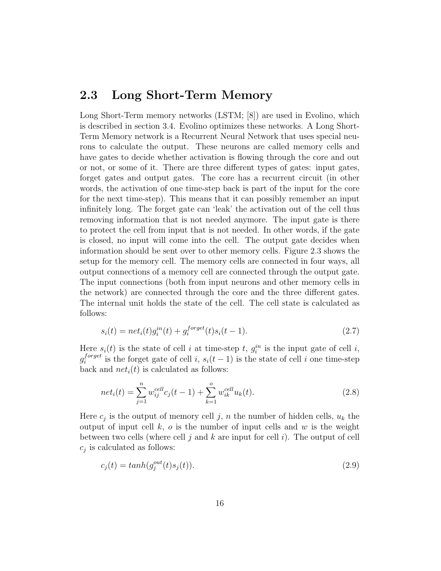### <span id="page-17-0"></span>2.3 Long Short-Term Memory

Long Short-Term memory networks (LSTM; [\[8\]](#page-79-2)) are used in Evolino, which is described in section [3.4.](#page-38-0) Evolino optimizes these networks. A Long Short-Term Memory network is a Recurrent Neural Network that uses special neurons to calculate the output. These neurons are called memory cells and have gates to decide whether activation is flowing through the core and out or not, or some of it. There are three different types of gates: input gates, forget gates and output gates. The core has a recurrent circuit (in other words, the activation of one time-step back is part of the input for the core for the next time-step). This means that it can possibly remember an input infinitely long. The forget gate can 'leak' the activation out of the cell thus removing information that is not needed anymore. The input gate is there to protect the cell from input that is not needed. In other words, if the gate is closed, no input will come into the cell. The output gate decides when information should be sent over to other memory cells. Figure [2.3](#page-18-0) shows the setup for the memory cell. The memory cells are connected in four ways, all output connections of a memory cell are connected through the output gate. The input connections (both from input neurons and other memory cells in the network) are connected through the core and the three different gates. The internal unit holds the state of the cell. The cell state is calculated as follows:

$$
s_i(t) = net_i(t)g_i^{in}(t) + g_i^{forget}(t)s_i(t-1).
$$
\n(2.7)

Here  $s_i(t)$  is the state of cell i at time-step t,  $g_i^{in}$  is the input gate of cell i,  $g_i^{forget}$  $i^{forget}$  is the forget gate of cell i,  $s_i(t-1)$  is the state of cell i one time-step back and  $net_i(t)$  is calculated as follows:

$$
net_i(t) = \sum_{j=1}^{n} w_{ij}^{cell} c_j(t-1) + \sum_{k=1}^{o} w_{ik}^{cell} u_k(t).
$$
\n(2.8)

Here  $c_j$  is the output of memory cell j, n the number of hidden cells,  $u_k$  the output of input cell  $k$ ,  $\sigma$  is the number of input cells and  $w$  is the weight between two cells (where cell j and k are input for cell i). The output of cell  $c_j$  is calculated as follows:

$$
c_j(t) = tanh(g_j^{out}(t)s_j(t)).
$$
\n(2.9)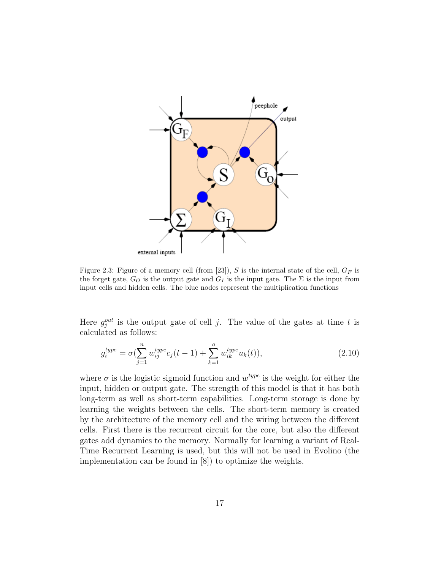<span id="page-18-0"></span>

Figure 2.3: Figure of a memory cell (from [\[23\]](#page-81-2)), S is the internal state of the cell,  $G_F$  is the forget gate,  $G_O$  is the output gate and  $G_I$  is the input gate. The  $\Sigma$  is the input from input cells and hidden cells. The blue nodes represent the multiplication functions

Here  $g_j^{out}$  is the output gate of cell j. The value of the gates at time t is calculated as follows:

$$
g_i^{type} = \sigma(\sum_{j=1}^n w_{ij}^{type} c_j(t-1) + \sum_{k=1}^o w_{ik}^{type} u_k(t)),
$$
\n(2.10)

where  $\sigma$  is the logistic sigmoid function and  $w^{type}$  is the weight for either the input, hidden or output gate. The strength of this model is that it has both long-term as well as short-term capabilities. Long-term storage is done by learning the weights between the cells. The short-term memory is created by the architecture of the memory cell and the wiring between the different cells. First there is the recurrent circuit for the core, but also the different gates add dynamics to the memory. Normally for learning a variant of Real-Time Recurrent Learning is used, but this will not be used in Evolino (the implementation can be found in [\[8\]](#page-79-2)) to optimize the weights.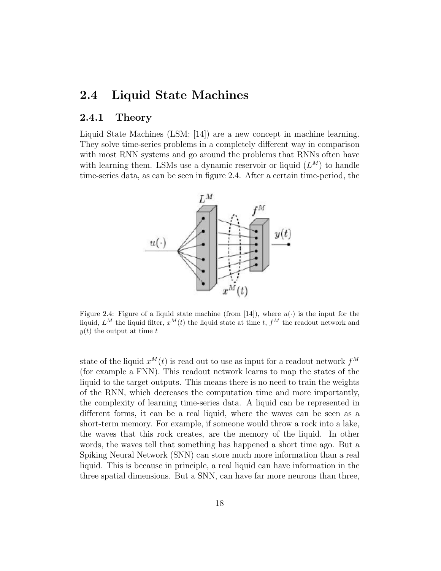### <span id="page-19-0"></span>2.4 Liquid State Machines

#### <span id="page-19-1"></span>2.4.1 Theory

<span id="page-19-2"></span>Liquid State Machines (LSM; [\[14\]](#page-80-4)) are a new concept in machine learning. They solve time-series problems in a completely different way in comparison with most RNN systems and go around the problems that RNNs often have with learning them. LSMs use a dynamic reservoir or liquid  $(L^M)$  to handle time-series data, as can be seen in figure [2.4.](#page-19-2) After a certain time-period, the



Figure 2.4: Figure of a liquid state machine (from [\[14\]](#page-80-4)), where  $u(\cdot)$  is the input for the liquid,  $L^M$  the liquid filter,  $x^M(t)$  the liquid state at time t,  $f^M$  the readout network and  $y(t)$  the output at time t

state of the liquid  $x^M(t)$  is read out to use as input for a readout network  $f^M$ (for example a FNN). This readout network learns to map the states of the liquid to the target outputs. This means there is no need to train the weights of the RNN, which decreases the computation time and more importantly, the complexity of learning time-series data. A liquid can be represented in different forms, it can be a real liquid, where the waves can be seen as a short-term memory. For example, if someone would throw a rock into a lake, the waves that this rock creates, are the memory of the liquid. In other words, the waves tell that something has happened a short time ago. But a Spiking Neural Network (SNN) can store much more information than a real liquid. This is because in principle, a real liquid can have information in the three spatial dimensions. But a SNN, can have far more neurons than three,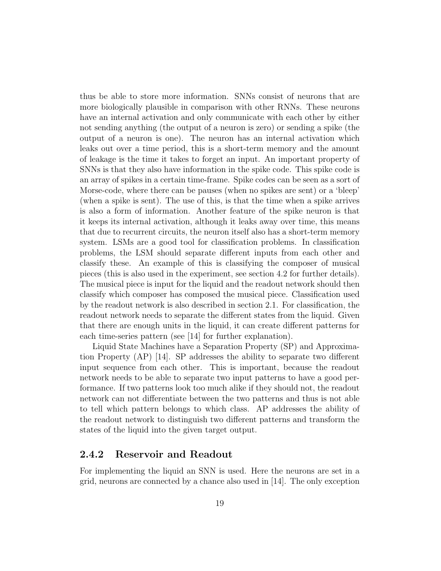thus be able to store more information. SNNs consist of neurons that are more biologically plausible in comparison with other RNNs. These neurons have an internal activation and only communicate with each other by either not sending anything (the output of a neuron is zero) or sending a spike (the output of a neuron is one). The neuron has an internal activation which leaks out over a time period, this is a short-term memory and the amount of leakage is the time it takes to forget an input. An important property of SNNs is that they also have information in the spike code. This spike code is an array of spikes in a certain time-frame. Spike codes can be seen as a sort of Morse-code, where there can be pauses (when no spikes are sent) or a 'bleep' (when a spike is sent). The use of this, is that the time when a spike arrives is also a form of information. Another feature of the spike neuron is that it keeps its internal activation, although it leaks away over time, this means that due to recurrent circuits, the neuron itself also has a short-term memory system. LSMs are a good tool for classification problems. In classification problems, the LSM should separate different inputs from each other and classify these. An example of this is classifying the composer of musical pieces (this is also used in the experiment, see section [4.2](#page-44-0) for further details). The musical piece is input for the liquid and the readout network should then classify which composer has composed the musical piece. Classification used by the readout network is also described in section [2.1.](#page-11-0) For classification, the readout network needs to separate the different states from the liquid. Given that there are enough units in the liquid, it can create different patterns for each time-series pattern (see [\[14\]](#page-80-4) for further explanation).

Liquid State Machines have a Separation Property (SP) and Approximation Property (AP) [\[14\]](#page-80-4). SP addresses the ability to separate two different input sequence from each other. This is important, because the readout network needs to be able to separate two input patterns to have a good performance. If two patterns look too much alike if they should not, the readout network can not differentiate between the two patterns and thus is not able to tell which pattern belongs to which class. AP addresses the ability of the readout network to distinguish two different patterns and transform the states of the liquid into the given target output.

#### <span id="page-20-0"></span>2.4.2 Reservoir and Readout

For implementing the liquid an SNN is used. Here the neurons are set in a grid, neurons are connected by a chance also used in [\[14\]](#page-80-4). The only exception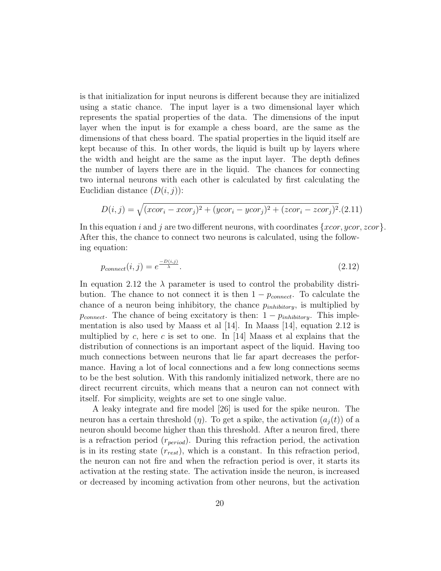is that initialization for input neurons is different because they are initialized using a static chance. The input layer is a two dimensional layer which represents the spatial properties of the data. The dimensions of the input layer when the input is for example a chess board, are the same as the dimensions of that chess board. The spatial properties in the liquid itself are kept because of this. In other words, the liquid is built up by layers where the width and height are the same as the input layer. The depth defines the number of layers there are in the liquid. The chances for connecting two internal neurons with each other is calculated by first calculating the Euclidian distance  $(D(i, j))$ :

$$
D(i,j) = \sqrt{(xcor_i - xcor_j)^2 + (ycor_i - ycor_j)^2 + (zcor_i - zcor_j)^2}.
$$
 (2.11)

In this equation i and j are two different neurons, with coordinates  $\{xcor, ycor, zcor\}$ . After this, the chance to connect two neurons is calculated, using the following equation:

<span id="page-21-0"></span>
$$
p_{connect}(i, j) = e^{\frac{-D(i, j)}{\lambda}}.\tag{2.12}
$$

In equation [2.12](#page-21-0) the  $\lambda$  parameter is used to control the probability distribution. The chance to not connect it is then  $1 - p_{connect}$ . To calculate the chance of a neuron being inhibitory, the chance  $p_{inhibitory}$ , is multiplied by  $p_{connect}$ . The chance of being excitatory is then:  $1 - p_{inhibitory}$ . This implementation is also used by Maass et al [\[14\]](#page-80-4). In Maass [\[14\]](#page-80-4), equation [2.12](#page-21-0) is multiplied by c, here c is set to one. In [\[14\]](#page-80-4) Maass et al explains that the distribution of connections is an important aspect of the liquid. Having too much connections between neurons that lie far apart decreases the performance. Having a lot of local connections and a few long connections seems to be the best solution. With this randomly initialized network, there are no direct recurrent circuits, which means that a neuron can not connect with itself. For simplicity, weights are set to one single value.

A leaky integrate and fire model [\[26\]](#page-81-1) is used for the spike neuron. The neuron has a certain threshold  $(\eta)$ . To get a spike, the activation  $(a_i(t))$  of a neuron should become higher than this threshold. After a neuron fired, there is a refraction period  $(r_{period})$ . During this refraction period, the activation is in its resting state  $(r_{rest})$ , which is a constant. In this refraction period, the neuron can not fire and when the refraction period is over, it starts its activation at the resting state. The activation inside the neuron, is increased or decreased by incoming activation from other neurons, but the activation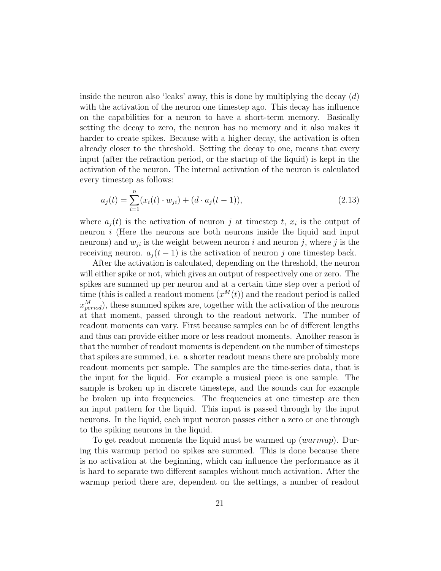inside the neuron also 'leaks' away, this is done by multiplying the decay  $(d)$ with the activation of the neuron one timestep ago. This decay has influence on the capabilities for a neuron to have a short-term memory. Basically setting the decay to zero, the neuron has no memory and it also makes it harder to create spikes. Because with a higher decay, the activation is often already closer to the threshold. Setting the decay to one, means that every input (after the refraction period, or the startup of the liquid) is kept in the activation of the neuron. The internal activation of the neuron is calculated every timestep as follows:

$$
a_j(t) = \sum_{i=1}^n (x_i(t) \cdot w_{ji}) + (d \cdot a_j(t-1)),
$$
\n(2.13)

where  $a_j(t)$  is the activation of neuron j at timestep t,  $x_i$  is the output of neuron  $i$  (Here the neurons are both neurons inside the liquid and input neurons) and  $w_{ji}$  is the weight between neuron i and neuron j, where j is the receiving neuron.  $a_j(t-1)$  is the activation of neuron j one timestep back.

After the activation is calculated, depending on the threshold, the neuron will either spike or not, which gives an output of respectively one or zero. The spikes are summed up per neuron and at a certain time step over a period of time (this is called a readout moment  $(x^M(t))$  and the readout period is called  $x_{period}^M$ ), these summed spikes are, together with the activation of the neurons at that moment, passed through to the readout network. The number of readout moments can vary. First because samples can be of different lengths and thus can provide either more or less readout moments. Another reason is that the number of readout moments is dependent on the number of timesteps that spikes are summed, i.e. a shorter readout means there are probably more readout moments per sample. The samples are the time-series data, that is the input for the liquid. For example a musical piece is one sample. The sample is broken up in discrete timesteps, and the sounds can for example be broken up into frequencies. The frequencies at one timestep are then an input pattern for the liquid. This input is passed through by the input neurons. In the liquid, each input neuron passes either a zero or one through to the spiking neurons in the liquid.

To get readout moments the liquid must be warmed up (warmup). During this warmup period no spikes are summed. This is done because there is no activation at the beginning, which can influence the performance as it is hard to separate two different samples without much activation. After the warmup period there are, dependent on the settings, a number of readout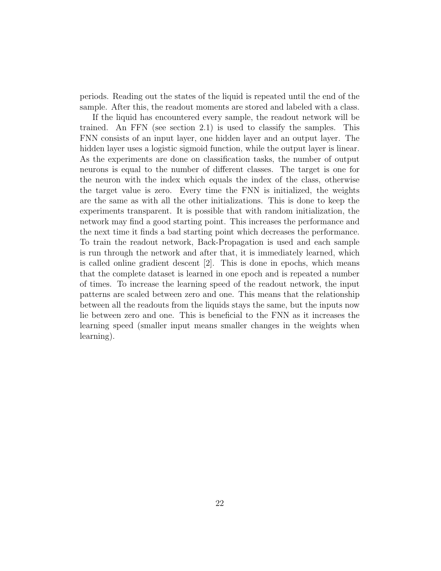periods. Reading out the states of the liquid is repeated until the end of the sample. After this, the readout moments are stored and labeled with a class.

If the liquid has encountered every sample, the readout network will be trained. An FFN (see section [2.1\)](#page-11-0) is used to classify the samples. This FNN consists of an input layer, one hidden layer and an output layer. The hidden layer uses a logistic sigmoid function, while the output layer is linear. As the experiments are done on classification tasks, the number of output neurons is equal to the number of different classes. The target is one for the neuron with the index which equals the index of the class, otherwise the target value is zero. Every time the FNN is initialized, the weights are the same as with all the other initializations. This is done to keep the experiments transparent. It is possible that with random initialization, the network may find a good starting point. This increases the performance and the next time it finds a bad starting point which decreases the performance. To train the readout network, Back-Propagation is used and each sample is run through the network and after that, it is immediately learned, which is called online gradient descent [\[2\]](#page-79-7). This is done in epochs, which means that the complete dataset is learned in one epoch and is repeated a number of times. To increase the learning speed of the readout network, the input patterns are scaled between zero and one. This means that the relationship between all the readouts from the liquids stays the same, but the inputs now lie between zero and one. This is beneficial to the FNN as it increases the learning speed (smaller input means smaller changes in the weights when learning).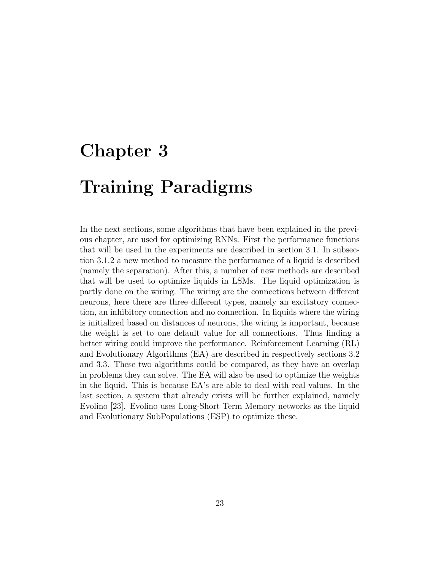# <span id="page-24-0"></span>Chapter 3 Training Paradigms

In the next sections, some algorithms that have been explained in the previous chapter, are used for optimizing RNNs. First the performance functions that will be used in the experiments are described in section [3.1.](#page-25-0) In subsection [3.1.2](#page-25-2) a new method to measure the performance of a liquid is described (namely the separation). After this, a number of new methods are described that will be used to optimize liquids in LSMs. The liquid optimization is partly done on the wiring. The wiring are the connections between different neurons, here there are three different types, namely an excitatory connection, an inhibitory connection and no connection. In liquids where the wiring is initialized based on distances of neurons, the wiring is important, because the weight is set to one default value for all connections. Thus finding a better wiring could improve the performance. Reinforcement Learning (RL) and Evolutionary Algorithms (EA) are described in respectively sections [3.2](#page-27-0) and [3.3.](#page-31-0) These two algorithms could be compared, as they have an overlap in problems they can solve. The EA will also be used to optimize the weights in the liquid. This is because EA's are able to deal with real values. In the last section, a system that already exists will be further explained, namely Evolino [\[23\]](#page-81-2). Evolino uses Long-Short Term Memory networks as the liquid and Evolutionary SubPopulations (ESP) to optimize these.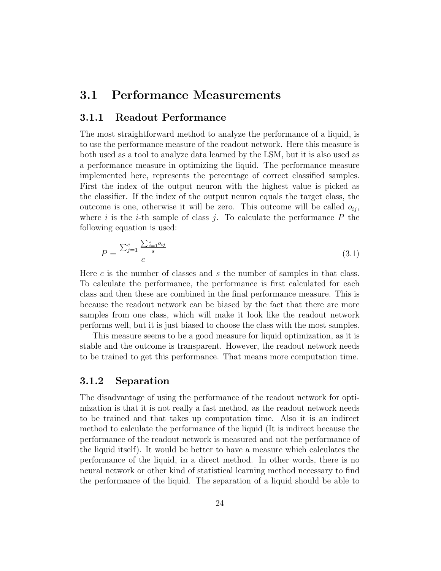#### <span id="page-25-0"></span>3.1 Performance Measurements

#### <span id="page-25-1"></span>3.1.1 Readout Performance

The most straightforward method to analyze the performance of a liquid, is to use the performance measure of the readout network. Here this measure is both used as a tool to analyze data learned by the LSM, but it is also used as a performance measure in optimizing the liquid. The performance measure implemented here, represents the percentage of correct classified samples. First the index of the output neuron with the highest value is picked as the classifier. If the index of the output neuron equals the target class, the outcome is one, otherwise it will be zero. This outcome will be called  $o_{ii}$ , where i is the i-th sample of class j. To calculate the performance  $P$  the following equation is used:

$$
P = \frac{\sum_{j=1}^{c} \frac{\sum_{i=1}^{s} o_{ij}}{s}}{c}
$$
\n(3.1)

Here c is the number of classes and s the number of samples in that class. To calculate the performance, the performance is first calculated for each class and then these are combined in the final performance measure. This is because the readout network can be biased by the fact that there are more samples from one class, which will make it look like the readout network performs well, but it is just biased to choose the class with the most samples.

This measure seems to be a good measure for liquid optimization, as it is stable and the outcome is transparent. However, the readout network needs to be trained to get this performance. That means more computation time.

#### <span id="page-25-2"></span>3.1.2 Separation

The disadvantage of using the performance of the readout network for optimization is that it is not really a fast method, as the readout network needs to be trained and that takes up computation time. Also it is an indirect method to calculate the performance of the liquid (It is indirect because the performance of the readout network is measured and not the performance of the liquid itself). It would be better to have a measure which calculates the performance of the liquid, in a direct method. In other words, there is no neural network or other kind of statistical learning method necessary to find the performance of the liquid. The separation of a liquid should be able to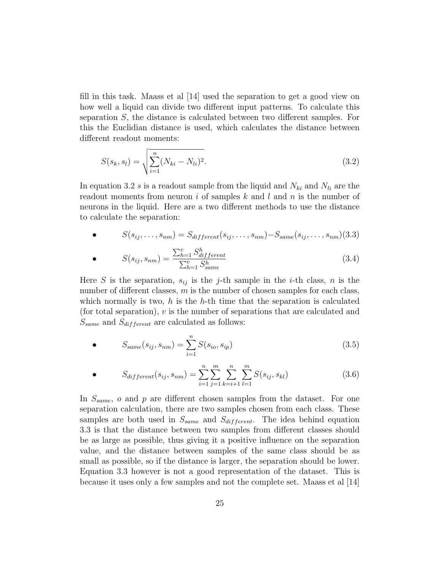fill in this task. Maass et al [\[14\]](#page-80-4) used the separation to get a good view on how well a liquid can divide two different input patterns. To calculate this separation S, the distance is calculated between two different samples. For this the Euclidian distance is used, which calculates the distance between different readout moments:

<span id="page-26-0"></span>
$$
S(s_k, s_l) = \sqrt{\sum_{i=1}^{n} (N_{ki} - N_{li})^2}.
$$
\n(3.2)

In equation [3.2](#page-26-0) s is a readout sample from the liquid and  $N_{ki}$  and  $N_{li}$  are the readout moments from neuron i of samples k and l and n is the number of neurons in the liquid. Here are a two different methods to use the distance to calculate the separation:

<span id="page-26-1"></span>• 
$$
S(s_{ij},\ldots,s_{nm})=S_{different}(s_{ij},\ldots,s_{nm})-S_{same}(s_{ij},\ldots,s_{nm})(3.3)
$$

<span id="page-26-2"></span>
$$
S(s_{ij}, s_{nm}) = \frac{\sum_{h=1}^{v} S_{differential}}{\sum_{h=1}^{v} S_{same}^{h}}
$$
\n(3.4)

Here S is the separation,  $s_{ij}$  is the j-th sample in the *i*-th class, n is the number of different classes,  $m$  is the number of chosen samples for each class, which normally is two,  $h$  is the  $h$ -th time that the separation is calculated (for total separation), v is the number of separations that are calculated and  $S_{same}$  and  $S_{different}$  are calculated as follows:

• 
$$
S_{same}(s_{ij}, s_{nm}) = \sum_{i=1}^{n} S(s_{io}, s_{ip})
$$
 (3.5)

• 
$$
S_{different}(s_{ij}, s_{nm}) = \sum_{i=1}^{n} \sum_{j=1}^{m} \sum_{k=i+1}^{n} \sum_{l=1}^{m} S(s_{ij}, s_{kl})
$$
(3.6)

In  $S_{same}$ ,  $o$  and  $p$  are different chosen samples from the dataset. For one separation calculation, there are two samples chosen from each class. These samples are both used in  $S_{same}$  and  $S_{different}$ . The idea behind equation [3.3](#page-26-1) is that the distance between two samples from different classes should be as large as possible, thus giving it a positive influence on the separation value, and the distance between samples of the same class should be as small as possible, so if the distance is larger, the separation should be lower. Equation [3.3](#page-26-1) however is not a good representation of the dataset. This is because it uses only a few samples and not the complete set. Maass et al [\[14\]](#page-80-4)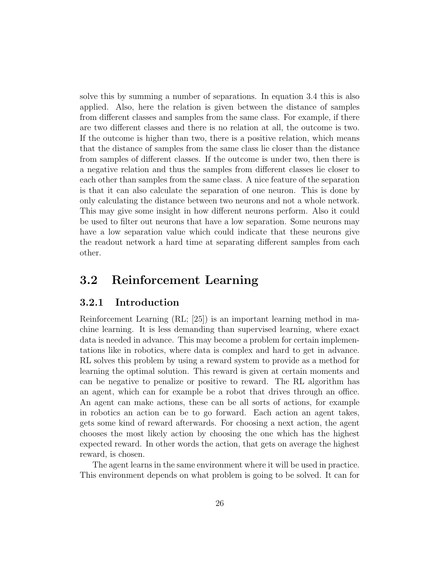solve this by summing a number of separations. In equation [3.4](#page-26-2) this is also applied. Also, here the relation is given between the distance of samples from different classes and samples from the same class. For example, if there are two different classes and there is no relation at all, the outcome is two. If the outcome is higher than two, there is a positive relation, which means that the distance of samples from the same class lie closer than the distance from samples of different classes. If the outcome is under two, then there is a negative relation and thus the samples from different classes lie closer to each other than samples from the same class. A nice feature of the separation is that it can also calculate the separation of one neuron. This is done by only calculating the distance between two neurons and not a whole network. This may give some insight in how different neurons perform. Also it could be used to filter out neurons that have a low separation. Some neurons may have a low separation value which could indicate that these neurons give the readout network a hard time at separating different samples from each other.

#### <span id="page-27-0"></span>3.2 Reinforcement Learning

#### <span id="page-27-1"></span>3.2.1 Introduction

Reinforcement Learning (RL; [\[25\]](#page-81-0)) is an important learning method in machine learning. It is less demanding than supervised learning, where exact data is needed in advance. This may become a problem for certain implementations like in robotics, where data is complex and hard to get in advance. RL solves this problem by using a reward system to provide as a method for learning the optimal solution. This reward is given at certain moments and can be negative to penalize or positive to reward. The RL algorithm has an agent, which can for example be a robot that drives through an office. An agent can make actions, these can be all sorts of actions, for example in robotics an action can be to go forward. Each action an agent takes, gets some kind of reward afterwards. For choosing a next action, the agent chooses the most likely action by choosing the one which has the highest expected reward. In other words the action, that gets on average the highest reward, is chosen.

The agent learns in the same environment where it will be used in practice. This environment depends on what problem is going to be solved. It can for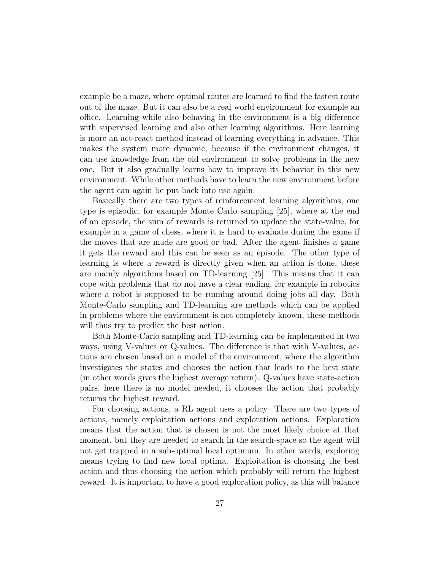example be a maze, where optimal routes are learned to find the fastest route out of the maze. But it can also be a real world environment for example an office. Learning while also behaving in the environment is a big difference with supervised learning and also other learning algorithms. Here learning is more an act-react method instead of learning everything in advance. This makes the system more dynamic, because if the environment changes, it can use knowledge from the old environment to solve problems in the new one. But it also gradually learns how to improve its behavior in this new environment. While other methods have to learn the new environment before the agent can again be put back into use again.

Basically there are two types of reinforcement learning algorithms, one type is episodic, for example Monte Carlo sampling [\[25\]](#page-81-0), where at the end of an episode, the sum of rewards is returned to update the state-value, for example in a game of chess, where it is hard to evaluate during the game if the moves that are made are good or bad. After the agent finishes a game it gets the reward and this can be seen as an episode. The other type of learning is where a reward is directly given when an action is done, these are mainly algorithms based on TD-learning [\[25\]](#page-81-0). This means that it can cope with problems that do not have a clear ending, for example in robotics where a robot is supposed to be running around doing jobs all day. Both Monte-Carlo sampling and TD-learning are methods which can be applied in problems where the environment is not completely known, these methods will thus try to predict the best action.

Both Monte-Carlo sampling and TD-learning can be implemented in two ways, using V-values or Q-values. The difference is that with V-values, actions are chosen based on a model of the environment, where the algorithm investigates the states and chooses the action that leads to the best state (in other words gives the highest average return). Q-values have state-action pairs, here there is no model needed, it chooses the action that probably returns the highest reward.

For choosing actions, a RL agent uses a policy. There are two types of actions, namely exploitation actions and exploration actions. Exploration means that the action that is chosen is not the most likely choice at that moment, but they are needed to search in the search-space so the agent will not get trapped in a sub-optimal local optimum. In other words, exploring means trying to find new local optima. Exploitation is choosing the best action and thus choosing the action which probably will return the highest reward. It is important to have a good exploration policy, as this will balance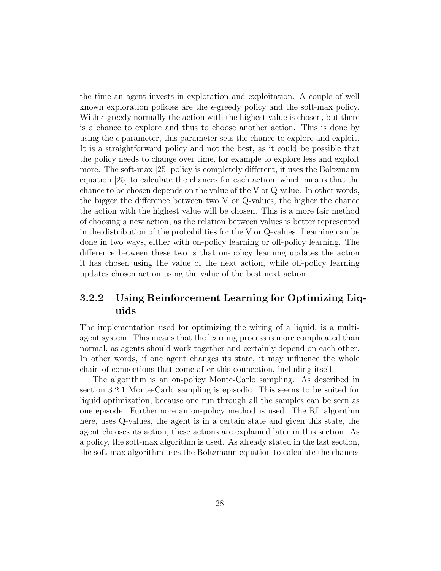the time an agent invests in exploration and exploitation. A couple of well known exploration policies are the  $\epsilon$ -greedy policy and the soft-max policy. With  $\epsilon$ -greedy normally the action with the highest value is chosen, but there is a chance to explore and thus to choose another action. This is done by using the  $\epsilon$  parameter, this parameter sets the chance to explore and exploit. It is a straightforward policy and not the best, as it could be possible that the policy needs to change over time, for example to explore less and exploit more. The soft-max [\[25\]](#page-81-0) policy is completely different, it uses the Boltzmann equation [\[25\]](#page-81-0) to calculate the chances for each action, which means that the chance to be chosen depends on the value of the V or Q-value. In other words, the bigger the difference between two V or Q-values, the higher the chance the action with the highest value will be chosen. This is a more fair method of choosing a new action, as the relation between values is better represented in the distribution of the probabilities for the V or Q-values. Learning can be done in two ways, either with on-policy learning or off-policy learning. The difference between these two is that on-policy learning updates the action it has chosen using the value of the next action, while off-policy learning updates chosen action using the value of the best next action.

#### <span id="page-29-0"></span>3.2.2 Using Reinforcement Learning for Optimizing Liquids

The implementation used for optimizing the wiring of a liquid, is a multiagent system. This means that the learning process is more complicated than normal, as agents should work together and certainly depend on each other. In other words, if one agent changes its state, it may influence the whole chain of connections that come after this connection, including itself.

The algorithm is an on-policy Monte-Carlo sampling. As described in section [3.2.1](#page-27-1) Monte-Carlo sampling is episodic. This seems to be suited for liquid optimization, because one run through all the samples can be seen as one episode. Furthermore an on-policy method is used. The RL algorithm here, uses Q-values, the agent is in a certain state and given this state, the agent chooses its action, these actions are explained later in this section. As a policy, the soft-max algorithm is used. As already stated in the last section, the soft-max algorithm uses the Boltzmann equation to calculate the chances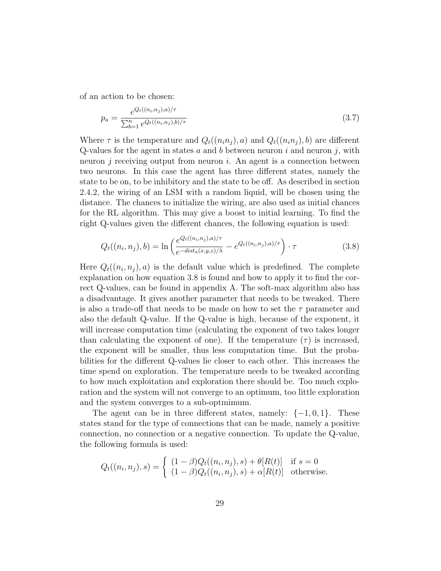of an action to be chosen:

$$
p_a = \frac{e^{Q_t((n_i, n_j), a)/\tau}}{\sum_{b=1}^n e^{Q_t((n_i, n_j), b)/\tau}}
$$
(3.7)

Where  $\tau$  is the temperature and  $Q_t((n_i n_j), a)$  and  $Q_t((n_i n_j), b)$  are different Q-values for the agent in states a and b between neuron i and neuron j, with neuron j receiving output from neuron i. An agent is a connection between two neurons. In this case the agent has three different states, namely the state to be on, to be inhibitory and the state to be off. As described in section [2.4.2,](#page-20-0) the wiring of an LSM with a random liquid, will be chosen using the distance. The chances to initialize the wiring, are also used as initial chances for the RL algorithm. This may give a boost to initial learning. To find the right Q-values given the different chances, the following equation is used:

<span id="page-30-0"></span>
$$
Q_t((n_i, n_j), b) = \ln \left( \frac{e^{Q_t((n_i, n_j), a)/\tau}}{e^{-dist_a(x, y, z)/\lambda}} - e^{Q_t((n_i, n_j), a)/\tau} \right) \cdot \tau
$$
\n(3.8)

Here  $Q_t((n_i, n_j), a)$  is the default value which is predefined. The complete explanation on how equation [3.8](#page-30-0) is found and how to apply it to find the correct Q-values, can be found in appendix [A.](#page-76-0) The soft-max algorithm also has a disadvantage. It gives another parameter that needs to be tweaked. There is also a trade-off that needs to be made on how to set the  $\tau$  parameter and also the default Q-value. If the Q-value is high, because of the exponent, it will increase computation time (calculating the exponent of two takes longer than calculating the exponent of one). If the temperature  $(\tau)$  is increased, the exponent will be smaller, thus less computation time. But the probabilities for the different Q-values lie closer to each other. This increases the time spend on exploration. The temperature needs to be tweaked according to how much exploitation and exploration there should be. Too much exploration and the system will not converge to an optimum, too little exploration and the system converges to a sub-optmimum.

The agent can be in three different states, namely:  $\{-1,0,1\}$ . These states stand for the type of connections that can be made, namely a positive connection, no connection or a negative connection. To update the Q-value, the following formula is used:

$$
Q_t((n_i, n_j), s) = \begin{cases} (1 - \beta)Q_t((n_i, n_j), s) + \theta[R(t)] & \text{if } s = 0\\ (1 - \beta)Q_t((n_i, n_j), s) + \alpha[R(t)] & \text{otherwise.} \end{cases}
$$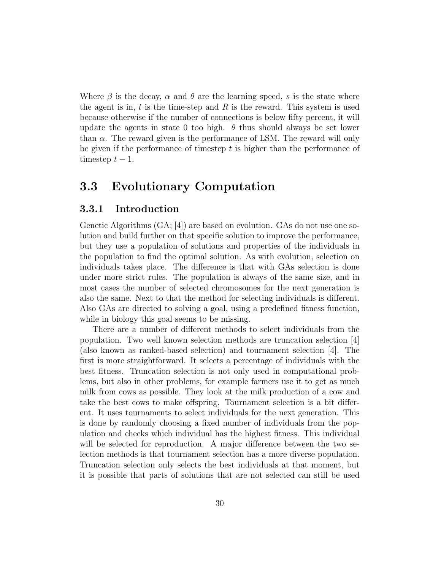Where  $\beta$  is the decay,  $\alpha$  and  $\theta$  are the learning speed, s is the state where the agent is in,  $t$  is the time-step and  $R$  is the reward. This system is used because otherwise if the number of connections is below fifty percent, it will update the agents in state 0 too high.  $\theta$  thus should always be set lower than  $\alpha$ . The reward given is the performance of LSM. The reward will only be given if the performance of timestep  $t$  is higher than the performance of timestep  $t - 1$ .

### <span id="page-31-0"></span>3.3 Evolutionary Computation

#### <span id="page-31-1"></span>3.3.1 Introduction

Genetic Algorithms (GA; [\[4\]](#page-79-0)) are based on evolution. GAs do not use one solution and build further on that specific solution to improve the performance, but they use a population of solutions and properties of the individuals in the population to find the optimal solution. As with evolution, selection on individuals takes place. The difference is that with GAs selection is done under more strict rules. The population is always of the same size, and in most cases the number of selected chromosomes for the next generation is also the same. Next to that the method for selecting individuals is different. Also GAs are directed to solving a goal, using a predefined fitness function, while in biology this goal seems to be missing.

There are a number of different methods to select individuals from the population. Two well known selection methods are truncation selection [\[4\]](#page-79-0) (also known as ranked-based selection) and tournament selection [\[4\]](#page-79-0). The first is more straightforward. It selects a percentage of individuals with the best fitness. Truncation selection is not only used in computational problems, but also in other problems, for example farmers use it to get as much milk from cows as possible. They look at the milk production of a cow and take the best cows to make offspring. Tournament selection is a bit different. It uses tournaments to select individuals for the next generation. This is done by randomly choosing a fixed number of individuals from the population and checks which individual has the highest fitness. This individual will be selected for reproduction. A major difference between the two selection methods is that tournament selection has a more diverse population. Truncation selection only selects the best individuals at that moment, but it is possible that parts of solutions that are not selected can still be used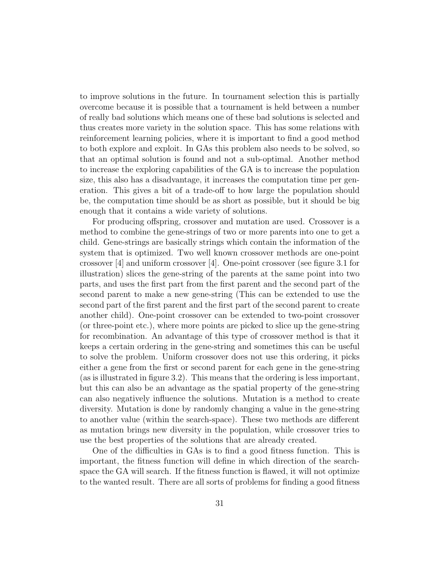to improve solutions in the future. In tournament selection this is partially overcome because it is possible that a tournament is held between a number of really bad solutions which means one of these bad solutions is selected and thus creates more variety in the solution space. This has some relations with reinforcement learning policies, where it is important to find a good method to both explore and exploit. In GAs this problem also needs to be solved, so that an optimal solution is found and not a sub-optimal. Another method to increase the exploring capabilities of the GA is to increase the population size, this also has a disadvantage, it increases the computation time per generation. This gives a bit of a trade-off to how large the population should be, the computation time should be as short as possible, but it should be big enough that it contains a wide variety of solutions.

For producing offspring, crossover and mutation are used. Crossover is a method to combine the gene-strings of two or more parents into one to get a child. Gene-strings are basically strings which contain the information of the system that is optimized. Two well known crossover methods are one-point crossover [\[4\]](#page-79-0) and uniform crossover [\[4\]](#page-79-0). One-point crossover (see figure [3.1](#page-33-0) for illustration) slices the gene-string of the parents at the same point into two parts, and uses the first part from the first parent and the second part of the second parent to make a new gene-string (This can be extended to use the second part of the first parent and the first part of the second parent to create another child). One-point crossover can be extended to two-point crossover (or three-point etc.), where more points are picked to slice up the gene-string for recombination. An advantage of this type of crossover method is that it keeps a certain ordering in the gene-string and sometimes this can be useful to solve the problem. Uniform crossover does not use this ordering, it picks either a gene from the first or second parent for each gene in the gene-string (as is illustrated in figure [3.2\)](#page-33-1). This means that the ordering is less important, but this can also be an advantage as the spatial property of the gene-string can also negatively influence the solutions. Mutation is a method to create diversity. Mutation is done by randomly changing a value in the gene-string to another value (within the search-space). These two methods are different as mutation brings new diversity in the population, while crossover tries to use the best properties of the solutions that are already created.

One of the difficulties in GAs is to find a good fitness function. This is important, the fitness function will define in which direction of the searchspace the GA will search. If the fitness function is flawed, it will not optimize to the wanted result. There are all sorts of problems for finding a good fitness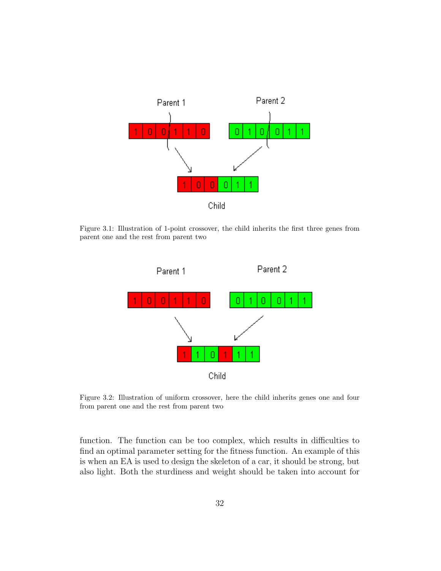<span id="page-33-0"></span>

<span id="page-33-1"></span>Figure 3.1: Illustration of 1-point crossover, the child inherits the first three genes from parent one and the rest from parent two



Figure 3.2: Illustration of uniform crossover, here the child inherits genes one and four from parent one and the rest from parent two

function. The function can be too complex, which results in difficulties to find an optimal parameter setting for the fitness function. An example of this is when an EA is used to design the skeleton of a car, it should be strong, but also light. Both the sturdiness and weight should be taken into account for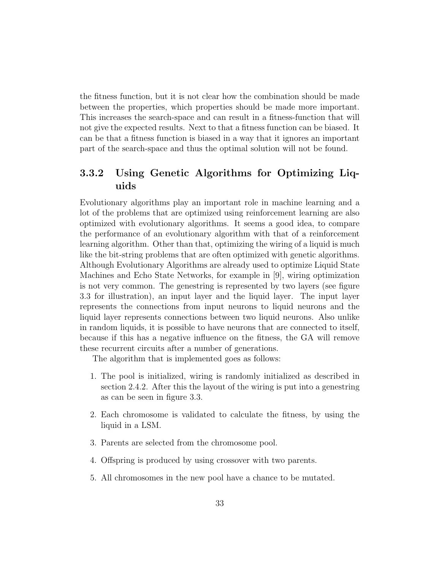the fitness function, but it is not clear how the combination should be made between the properties, which properties should be made more important. This increases the search-space and can result in a fitness-function that will not give the expected results. Next to that a fitness function can be biased. It can be that a fitness function is biased in a way that it ignores an important part of the search-space and thus the optimal solution will not be found.

#### <span id="page-34-0"></span>3.3.2 Using Genetic Algorithms for Optimizing Liquids

Evolutionary algorithms play an important role in machine learning and a lot of the problems that are optimized using reinforcement learning are also optimized with evolutionary algorithms. It seems a good idea, to compare the performance of an evolutionary algorithm with that of a reinforcement learning algorithm. Other than that, optimizing the wiring of a liquid is much like the bit-string problems that are often optimized with genetic algorithms. Although Evolutionary Algorithms are already used to optimize Liquid State Machines and Echo State Networks, for example in [\[9\]](#page-79-8), wiring optimization is not very common. The genestring is represented by two layers (see figure [3.3](#page-35-0) for illustration), an input layer and the liquid layer. The input layer represents the connections from input neurons to liquid neurons and the liquid layer represents connections between two liquid neurons. Also unlike in random liquids, it is possible to have neurons that are connected to itself, because if this has a negative influence on the fitness, the GA will remove these recurrent circuits after a number of generations.

The algorithm that is implemented goes as follows:

- 1. The pool is initialized, wiring is randomly initialized as described in section [2.4.2.](#page-20-0) After this the layout of the wiring is put into a genestring as can be seen in figure [3.3.](#page-35-0)
- 2. Each chromosome is validated to calculate the fitness, by using the liquid in a LSM.
- 3. Parents are selected from the chromosome pool.
- 4. Offspring is produced by using crossover with two parents.
- 5. All chromosomes in the new pool have a chance to be mutated.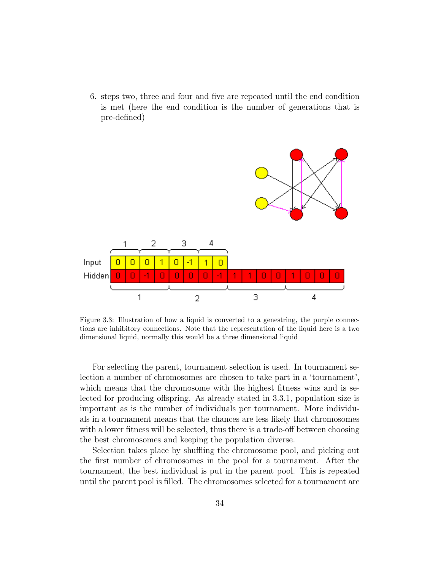6. steps two, three and four and five are repeated until the end condition is met (here the end condition is the number of generations that is pre-defined)

<span id="page-35-0"></span>

Figure 3.3: Illustration of how a liquid is converted to a genestring, the purple connections are inhibitory connections. Note that the representation of the liquid here is a two dimensional liquid, normally this would be a three dimensional liquid

For selecting the parent, tournament selection is used. In tournament selection a number of chromosomes are chosen to take part in a 'tournament', which means that the chromosome with the highest fitness wins and is selected for producing offspring. As already stated in [3.3.1,](#page-31-1) population size is important as is the number of individuals per tournament. More individuals in a tournament means that the chances are less likely that chromosomes with a lower fitness will be selected, thus there is a trade-off between choosing the best chromosomes and keeping the population diverse.

Selection takes place by shuffling the chromosome pool, and picking out the first number of chromosomes in the pool for a tournament. After the tournament, the best individual is put in the parent pool. This is repeated until the parent pool is filled. The chromosomes selected for a tournament are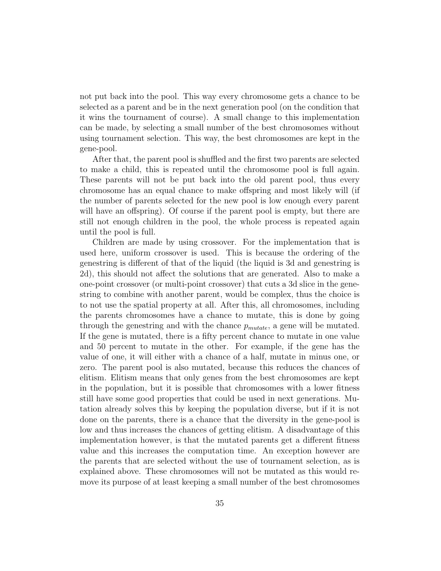not put back into the pool. This way every chromosome gets a chance to be selected as a parent and be in the next generation pool (on the condition that it wins the tournament of course). A small change to this implementation can be made, by selecting a small number of the best chromosomes without using tournament selection. This way, the best chromosomes are kept in the gene-pool.

After that, the parent pool is shuffled and the first two parents are selected to make a child, this is repeated until the chromosome pool is full again. These parents will not be put back into the old parent pool, thus every chromosome has an equal chance to make offspring and most likely will (if the number of parents selected for the new pool is low enough every parent will have an offspring). Of course if the parent pool is empty, but there are still not enough children in the pool, the whole process is repeated again until the pool is full.

Children are made by using crossover. For the implementation that is used here, uniform crossover is used. This is because the ordering of the genestring is different of that of the liquid (the liquid is 3d and genestring is 2d), this should not affect the solutions that are generated. Also to make a one-point crossover (or multi-point crossover) that cuts a 3d slice in the genestring to combine with another parent, would be complex, thus the choice is to not use the spatial property at all. After this, all chromosomes, including the parents chromosomes have a chance to mutate, this is done by going through the genestring and with the chance  $p_{mutate}$ , a gene will be mutated. If the gene is mutated, there is a fifty percent chance to mutate in one value and 50 percent to mutate in the other. For example, if the gene has the value of one, it will either with a chance of a half, mutate in minus one, or zero. The parent pool is also mutated, because this reduces the chances of elitism. Elitism means that only genes from the best chromosomes are kept in the population, but it is possible that chromosomes with a lower fitness still have some good properties that could be used in next generations. Mutation already solves this by keeping the population diverse, but if it is not done on the parents, there is a chance that the diversity in the gene-pool is low and thus increases the chances of getting elitism. A disadvantage of this implementation however, is that the mutated parents get a different fitness value and this increases the computation time. An exception however are the parents that are selected without the use of tournament selection, as is explained above. These chromosomes will not be mutated as this would remove its purpose of at least keeping a small number of the best chromosomes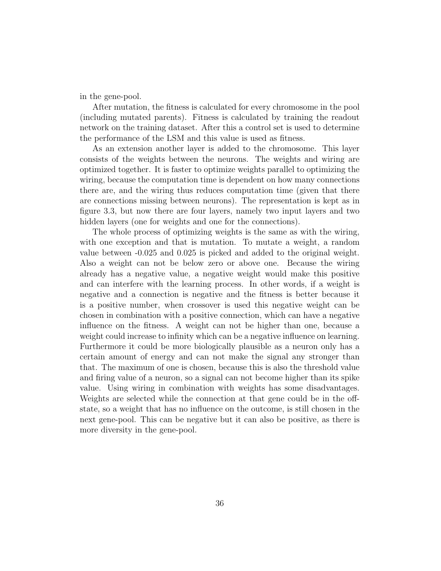in the gene-pool.

After mutation, the fitness is calculated for every chromosome in the pool (including mutated parents). Fitness is calculated by training the readout network on the training dataset. After this a control set is used to determine the performance of the LSM and this value is used as fitness.

As an extension another layer is added to the chromosome. This layer consists of the weights between the neurons. The weights and wiring are optimized together. It is faster to optimize weights parallel to optimizing the wiring, because the computation time is dependent on how many connections there are, and the wiring thus reduces computation time (given that there are connections missing between neurons). The representation is kept as in figure [3.3,](#page-35-0) but now there are four layers, namely two input layers and two hidden layers (one for weights and one for the connections).

The whole process of optimizing weights is the same as with the wiring, with one exception and that is mutation. To mutate a weight, a random value between -0.025 and 0.025 is picked and added to the original weight. Also a weight can not be below zero or above one. Because the wiring already has a negative value, a negative weight would make this positive and can interfere with the learning process. In other words, if a weight is negative and a connection is negative and the fitness is better because it is a positive number, when crossover is used this negative weight can be chosen in combination with a positive connection, which can have a negative influence on the fitness. A weight can not be higher than one, because a weight could increase to infinity which can be a negative influence on learning. Furthermore it could be more biologically plausible as a neuron only has a certain amount of energy and can not make the signal any stronger than that. The maximum of one is chosen, because this is also the threshold value and firing value of a neuron, so a signal can not become higher than its spike value. Using wiring in combination with weights has some disadvantages. Weights are selected while the connection at that gene could be in the offstate, so a weight that has no influence on the outcome, is still chosen in the next gene-pool. This can be negative but it can also be positive, as there is more diversity in the gene-pool.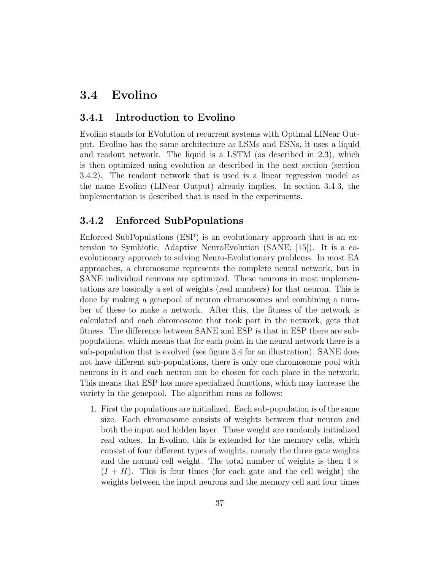## 3.4 Evolino

#### 3.4.1 Introduction to Evolino

Evolino stands for EVolution of recurrent systems with Optimal LINear Output. Evolino has the same architecture as LSMs and ESNs, it uses a liquid and readout network. The liquid is a LSTM (as described in [2.3\)](#page-17-0), which is then optimized using evolution as described in the next section (section [3.4.2\)](#page-38-0). The readout network that is used is a linear regression model as the name Evolino (LINear Output) already implies. In section [3.4.3,](#page-40-0) the implementation is described that is used in the experiments.

### <span id="page-38-0"></span>3.4.2 Enforced SubPopulations

Enforced SubPopulations (ESP) is an evolutionary approach that is an extension to Symbiotic, Adaptive NeuroEvolution (SANE; [\[15\]](#page-80-0)). It is a coevolutionary approach to solving Neuro-Evolutionary problems. In most EA approaches, a chromosome represents the complete neural network, but in SANE individual neurons are optimized. These neurons in most implementations are basically a set of weights (real numbers) for that neuron. This is done by making a genepool of neuron chromosomes and combining a number of these to make a network. After this, the fitness of the network is calculated and each chromosome that took part in the network, gets that fitness. The difference between SANE and ESP is that in ESP there are subpopulations, which means that for each point in the neural network there is a sub-population that is evolved (see figure [3.4](#page-39-0) for an illustration). SANE does not have different sub-populations, there is only one chromosome pool with neurons in it and each neuron can be chosen for each place in the network. This means that ESP has more specialized functions, which may increase the variety in the genepool. The algorithm runs as follows:

1. First the populations are initialized. Each sub-population is of the same size. Each chromosome consists of weights between that neuron and both the input and hidden layer. These weight are randomly initialized real values. In Evolino, this is extended for the memory cells, which consist of four different types of weights, namely the three gate weights and the normal cell weight. The total number of weights is then  $4 \times$  $(I + H)$ . This is four times (for each gate and the cell weight) the weights between the input neurons and the memory cell and four times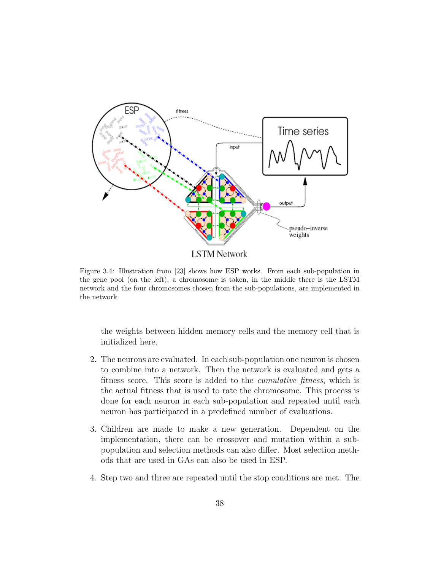<span id="page-39-0"></span>

Figure 3.4: Illustration from [\[23\]](#page-81-0) shows how ESP works. From each sub-population in the gene pool (on the left), a chromosome is taken, in the middle there is the LSTM network and the four chromosomes chosen from the sub-populations, are implemented in the network

the weights between hidden memory cells and the memory cell that is initialized here.

- 2. The neurons are evaluated. In each sub-population one neuron is chosen to combine into a network. Then the network is evaluated and gets a fitness score. This score is added to the cumulative fitness, which is the actual fitness that is used to rate the chromosome. This process is done for each neuron in each sub-population and repeated until each neuron has participated in a predefined number of evaluations.
- 3. Children are made to make a new generation. Dependent on the implementation, there can be crossover and mutation within a subpopulation and selection methods can also differ. Most selection methods that are used in GAs can also be used in ESP.
- 4. Step two and three are repeated until the stop conditions are met. The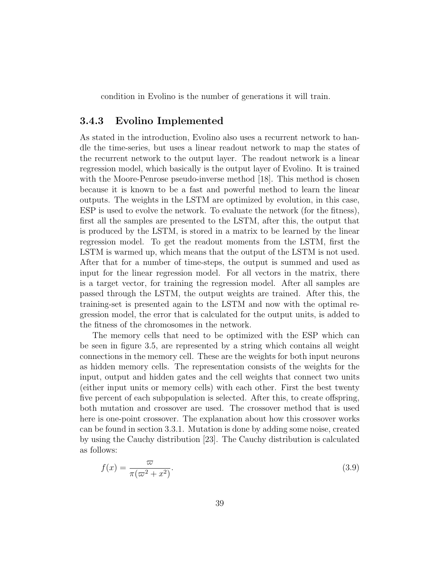condition in Evolino is the number of generations it will train.

#### <span id="page-40-0"></span>3.4.3 Evolino Implemented

As stated in the introduction, Evolino also uses a recurrent network to handle the time-series, but uses a linear readout network to map the states of the recurrent network to the output layer. The readout network is a linear regression model, which basically is the output layer of Evolino. It is trained with the Moore-Penrose pseudo-inverse method [\[18\]](#page-80-1). This method is chosen because it is known to be a fast and powerful method to learn the linear outputs. The weights in the LSTM are optimized by evolution, in this case, ESP is used to evolve the network. To evaluate the network (for the fitness), first all the samples are presented to the LSTM, after this, the output that is produced by the LSTM, is stored in a matrix to be learned by the linear regression model. To get the readout moments from the LSTM, first the LSTM is warmed up, which means that the output of the LSTM is not used. After that for a number of time-steps, the output is summed and used as input for the linear regression model. For all vectors in the matrix, there is a target vector, for training the regression model. After all samples are passed through the LSTM, the output weights are trained. After this, the training-set is presented again to the LSTM and now with the optimal regression model, the error that is calculated for the output units, is added to the fitness of the chromosomes in the network.

The memory cells that need to be optimized with the ESP which can be seen in figure [3.5,](#page-41-0) are represented by a string which contains all weight connections in the memory cell. These are the weights for both input neurons as hidden memory cells. The representation consists of the weights for the input, output and hidden gates and the cell weights that connect two units (either input units or memory cells) with each other. First the best twenty five percent of each subpopulation is selected. After this, to create offspring, both mutation and crossover are used. The crossover method that is used here is one-point crossover. The explanation about how this crossover works can be found in section [3.3.1.](#page-31-0) Mutation is done by adding some noise, created by using the Cauchy distribution [\[23\]](#page-81-0). The Cauchy distribution is calculated as follows:

$$
f(x) = \frac{\varpi}{\pi(\varpi^2 + x^2)}.
$$
\n(3.9)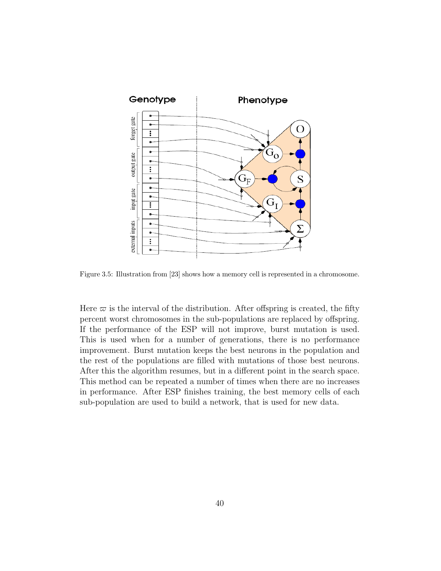<span id="page-41-0"></span>

Figure 3.5: Illustration from [\[23\]](#page-81-0) shows how a memory cell is represented in a chromosome.

Here  $\varpi$  is the interval of the distribution. After offspring is created, the fifty percent worst chromosomes in the sub-populations are replaced by offspring. If the performance of the ESP will not improve, burst mutation is used. This is used when for a number of generations, there is no performance improvement. Burst mutation keeps the best neurons in the population and the rest of the populations are filled with mutations of those best neurons. After this the algorithm resumes, but in a different point in the search space. This method can be repeated a number of times when there are no increases in performance. After ESP finishes training, the best memory cells of each sub-population are used to build a network, that is used for new data.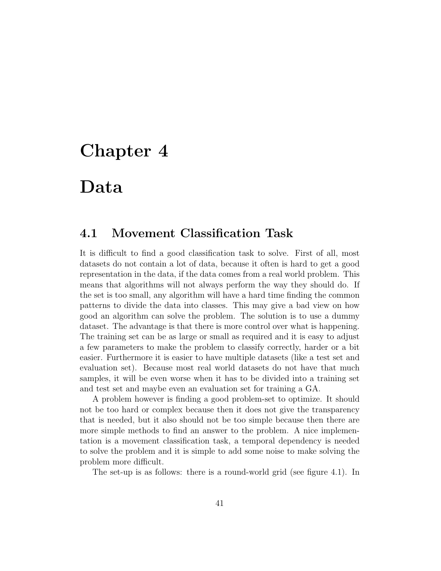# Chapter 4

## Data

## 4.1 Movement Classification Task

It is difficult to find a good classification task to solve. First of all, most datasets do not contain a lot of data, because it often is hard to get a good representation in the data, if the data comes from a real world problem. This means that algorithms will not always perform the way they should do. If the set is too small, any algorithm will have a hard time finding the common patterns to divide the data into classes. This may give a bad view on how good an algorithm can solve the problem. The solution is to use a dummy dataset. The advantage is that there is more control over what is happening. The training set can be as large or small as required and it is easy to adjust a few parameters to make the problem to classify correctly, harder or a bit easier. Furthermore it is easier to have multiple datasets (like a test set and evaluation set). Because most real world datasets do not have that much samples, it will be even worse when it has to be divided into a training set and test set and maybe even an evaluation set for training a GA.

A problem however is finding a good problem-set to optimize. It should not be too hard or complex because then it does not give the transparency that is needed, but it also should not be too simple because then there are more simple methods to find an answer to the problem. A nice implementation is a movement classification task, a temporal dependency is needed to solve the problem and it is simple to add some noise to make solving the problem more difficult.

The set-up is as follows: there is a round-world grid (see figure [4.1\)](#page-43-0). In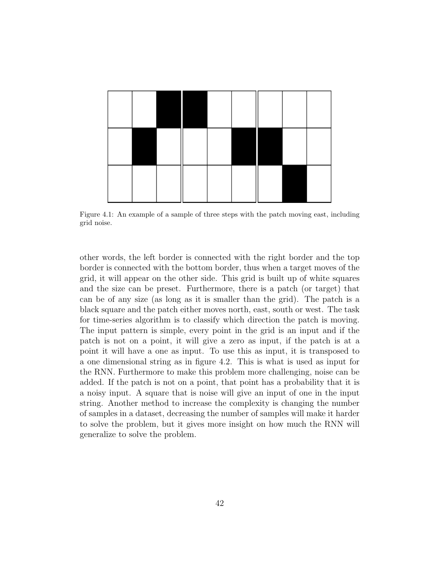<span id="page-43-0"></span>

Figure 4.1: An example of a sample of three steps with the patch moving east, including grid noise.

other words, the left border is connected with the right border and the top border is connected with the bottom border, thus when a target moves of the grid, it will appear on the other side. This grid is built up of white squares and the size can be preset. Furthermore, there is a patch (or target) that can be of any size (as long as it is smaller than the grid). The patch is a black square and the patch either moves north, east, south or west. The task for time-series algorithm is to classify which direction the patch is moving. The input pattern is simple, every point in the grid is an input and if the patch is not on a point, it will give a zero as input, if the patch is at a point it will have a one as input. To use this as input, it is transposed to a one dimensional string as in figure [4.2.](#page-44-0) This is what is used as input for the RNN. Furthermore to make this problem more challenging, noise can be added. If the patch is not on a point, that point has a probability that it is a noisy input. A square that is noise will give an input of one in the input string. Another method to increase the complexity is changing the number of samples in a dataset, decreasing the number of samples will make it harder to solve the problem, but it gives more insight on how much the RNN will generalize to solve the problem.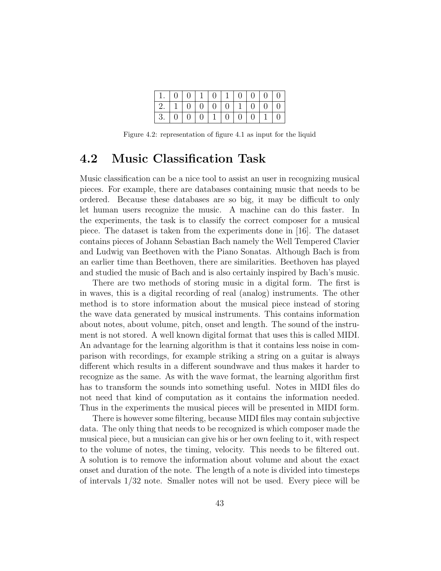| 1.00011011010000                                                         |  |  |  |  |  |
|--------------------------------------------------------------------------|--|--|--|--|--|
| $\mid 2. \mid 1 \mid 0 \mid 0 \mid 0 \mid 0 \mid 1 \mid 0 \mid 0 \mid 0$ |  |  |  |  |  |
| 3.00010101001100110                                                      |  |  |  |  |  |

<span id="page-44-0"></span>Figure 4.2: representation of figure [4.1](#page-43-0) as input for the liquid

## 4.2 Music Classification Task

Music classification can be a nice tool to assist an user in recognizing musical pieces. For example, there are databases containing music that needs to be ordered. Because these databases are so big, it may be difficult to only let human users recognize the music. A machine can do this faster. In the experiments, the task is to classify the correct composer for a musical piece. The dataset is taken from the experiments done in [\[16\]](#page-80-2). The dataset contains pieces of Johann Sebastian Bach namely the Well Tempered Clavier and Ludwig van Beethoven with the Piano Sonatas. Although Bach is from an earlier time than Beethoven, there are similarities. Beethoven has played and studied the music of Bach and is also certainly inspired by Bach's music.

There are two methods of storing music in a digital form. The first is in waves, this is a digital recording of real (analog) instruments. The other method is to store information about the musical piece instead of storing the wave data generated by musical instruments. This contains information about notes, about volume, pitch, onset and length. The sound of the instrument is not stored. A well known digital format that uses this is called MIDI. An advantage for the learning algorithm is that it contains less noise in comparison with recordings, for example striking a string on a guitar is always different which results in a different soundwave and thus makes it harder to recognize as the same. As with the wave format, the learning algorithm first has to transform the sounds into something useful. Notes in MIDI files do not need that kind of computation as it contains the information needed. Thus in the experiments the musical pieces will be presented in MIDI form.

There is however some filtering, because MIDI files may contain subjective data. The only thing that needs to be recognized is which composer made the musical piece, but a musician can give his or her own feeling to it, with respect to the volume of notes, the timing, velocity. This needs to be filtered out. A solution is to remove the information about volume and about the exact onset and duration of the note. The length of a note is divided into timesteps of intervals 1/32 note. Smaller notes will not be used. Every piece will be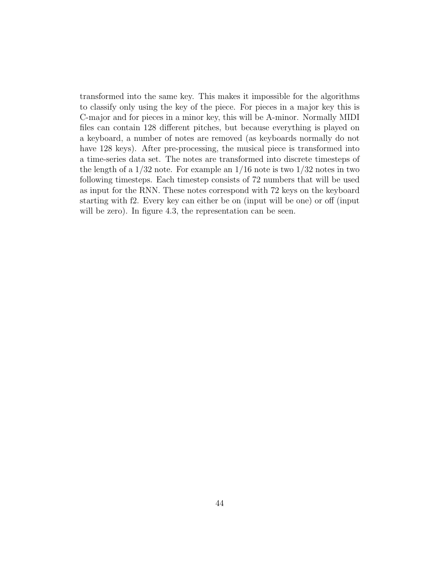transformed into the same key. This makes it impossible for the algorithms to classify only using the key of the piece. For pieces in a major key this is C-major and for pieces in a minor key, this will be A-minor. Normally MIDI files can contain 128 different pitches, but because everything is played on a keyboard, a number of notes are removed (as keyboards normally do not have 128 keys). After pre-processing, the musical piece is transformed into a time-series data set. The notes are transformed into discrete timesteps of the length of a  $1/32$  note. For example an  $1/16$  note is two  $1/32$  notes in two following timesteps. Each timestep consists of 72 numbers that will be used as input for the RNN. These notes correspond with 72 keys on the keyboard starting with f2. Every key can either be on (input will be one) or off (input will be zero). In figure [4.3,](#page-46-0) the representation can be seen.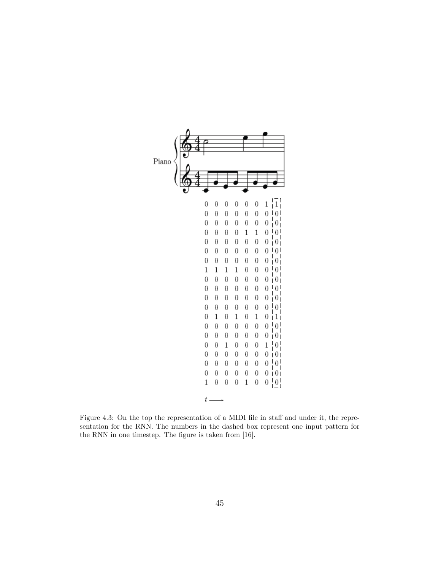<span id="page-46-0"></span>

Figure 4.3: On the top the representation of a MIDI file in staff and under it, the representation for the RNN. The numbers in the dashed box represent one input pattern for the RNN in one timestep. The figure is taken from [\[16\]](#page-80-2).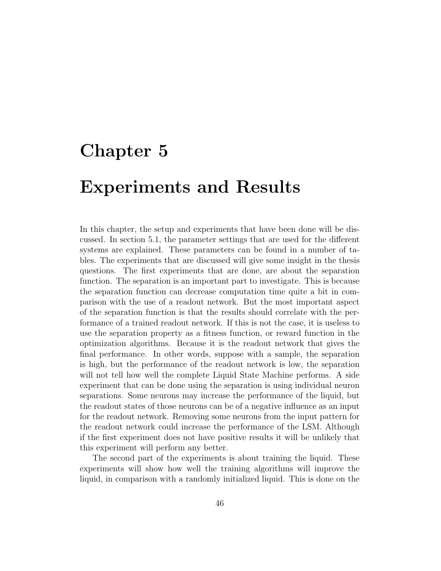# Chapter 5

## Experiments and Results

In this chapter, the setup and experiments that have been done will be discussed. In section [5.1,](#page-48-0) the parameter settings that are used for the different systems are explained. These parameters can be found in a number of tables. The experiments that are discussed will give some insight in the thesis questions. The first experiments that are done, are about the separation function. The separation is an important part to investigate. This is because the separation function can decrease computation time quite a bit in comparison with the use of a readout network. But the most important aspect of the separation function is that the results should correlate with the performance of a trained readout network. If this is not the case, it is useless to use the separation property as a fitness function, or reward function in the optimization algorithms. Because it is the readout network that gives the final performance. In other words, suppose with a sample, the separation is high, but the performance of the readout network is low, the separation will not tell how well the complete Liquid State Machine performs. A side experiment that can be done using the separation is using individual neuron separations. Some neurons may increase the performance of the liquid, but the readout states of those neurons can be of a negative influence as an input for the readout network. Removing some neurons from the input pattern for the readout network could increase the performance of the LSM. Although if the first experiment does not have positive results it will be unlikely that this experiment will perform any better.

The second part of the experiments is about training the liquid. These experiments will show how well the training algorithms will improve the liquid, in comparison with a randomly initialized liquid. This is done on the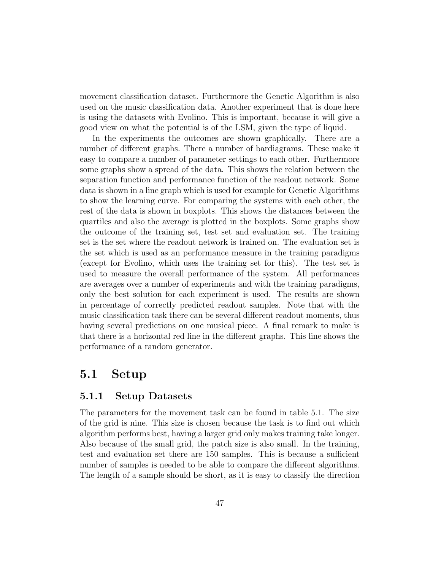movement classification dataset. Furthermore the Genetic Algorithm is also used on the music classification data. Another experiment that is done here is using the datasets with Evolino. This is important, because it will give a good view on what the potential is of the LSM, given the type of liquid.

In the experiments the outcomes are shown graphically. There are a number of different graphs. There a number of bardiagrams. These make it easy to compare a number of parameter settings to each other. Furthermore some graphs show a spread of the data. This shows the relation between the separation function and performance function of the readout network. Some data is shown in a line graph which is used for example for Genetic Algorithms to show the learning curve. For comparing the systems with each other, the rest of the data is shown in boxplots. This shows the distances between the quartiles and also the average is plotted in the boxplots. Some graphs show the outcome of the training set, test set and evaluation set. The training set is the set where the readout network is trained on. The evaluation set is the set which is used as an performance measure in the training paradigms (except for Evolino, which uses the training set for this). The test set is used to measure the overall performance of the system. All performances are averages over a number of experiments and with the training paradigms, only the best solution for each experiment is used. The results are shown in percentage of correctly predicted readout samples. Note that with the music classification task there can be several different readout moments, thus having several predictions on one musical piece. A final remark to make is that there is a horizontal red line in the different graphs. This line shows the performance of a random generator.

## <span id="page-48-0"></span>5.1 Setup

#### 5.1.1 Setup Datasets

The parameters for the movement task can be found in table [5.1.](#page-49-0) The size of the grid is nine. This size is chosen because the task is to find out which algorithm performs best, having a larger grid only makes training take longer. Also because of the small grid, the patch size is also small. In the training, test and evaluation set there are 150 samples. This is because a sufficient number of samples is needed to be able to compare the different algorithms. The length of a sample should be short, as it is easy to classify the direction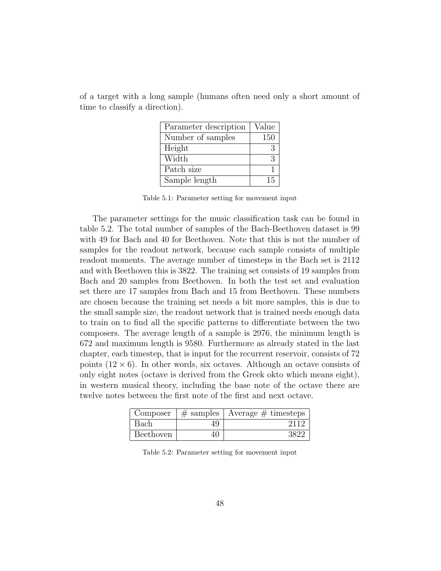| Parameter description | Value |
|-----------------------|-------|
| Number of samples     | 150   |
| Height                | 3     |
| Width                 | 3     |
| Patch size            |       |
| Sample length         | 15    |

<span id="page-49-0"></span>of a target with a long sample (humans often need only a short amount of time to classify a direction).

Table 5.1: Parameter setting for movement input

The parameter settings for the music classification task can be found in table [5.2.](#page-49-1) The total number of samples of the Bach-Beethoven dataset is 99 with 49 for Bach and 40 for Beethoven. Note that this is not the number of samples for the readout network, because each sample consists of multiple readout moments. The average number of timesteps in the Bach set is 2112 and with Beethoven this is 3822. The training set consists of 19 samples from Bach and 20 samples from Beethoven. In both the test set and evaluation set there are 17 samples from Bach and 15 from Beethoven. These numbers are chosen because the training set needs a bit more samples, this is due to the small sample size, the readout network that is trained needs enough data to train on to find all the specific patterns to differentiate between the two composers. The average length of a sample is 2976, the minimum length is 672 and maximum length is 9580. Furthermore as already stated in the last chapter, each timestep, that is input for the recurrent reservoir, consists of 72 points  $(12 \times 6)$ . In other words, six octaves. Although an octave consists of only eight notes (octave is derived from the Greek okto which means eight), in western musical theory, including the base note of the octave there are twelve notes between the first note of the first and next octave.

<span id="page-49-1"></span>

| Composer  |    | $\#$ samples   Average $\#$ timesteps |
|-----------|----|---------------------------------------|
| Bach      | 49 | 211c                                  |
| Beethoven |    |                                       |

Table 5.2: Parameter setting for movement input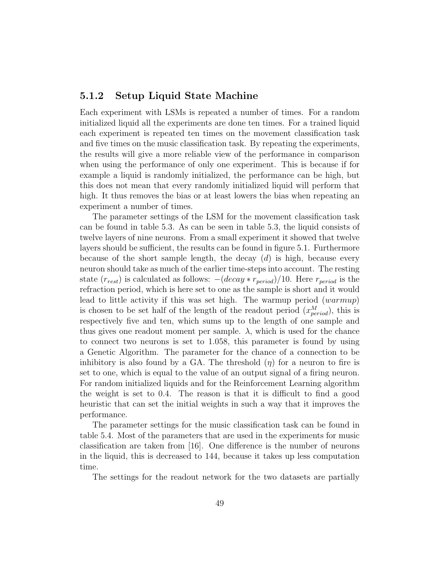#### 5.1.2 Setup Liquid State Machine

Each experiment with LSMs is repeated a number of times. For a random initialized liquid all the experiments are done ten times. For a trained liquid each experiment is repeated ten times on the movement classification task and five times on the music classification task. By repeating the experiments, the results will give a more reliable view of the performance in comparison when using the performance of only one experiment. This is because if for example a liquid is randomly initialized, the performance can be high, but this does not mean that every randomly initialized liquid will perform that high. It thus removes the bias or at least lowers the bias when repeating an experiment a number of times.

The parameter settings of the LSM for the movement classification task can be found in table [5.3.](#page-51-0) As can be seen in table [5.3,](#page-51-0) the liquid consists of twelve layers of nine neurons. From a small experiment it showed that twelve layers should be sufficient, the results can be found in figure [5.1.](#page-58-0) Furthermore because of the short sample length, the decay  $(d)$  is high, because every neuron should take as much of the earlier time-steps into account. The resting state  $(r_{rest})$  is calculated as follows:  $-(decay * r_{period})/10$ . Here  $r_{period}$  is the refraction period, which is here set to one as the sample is short and it would lead to little activity if this was set high. The warmup period (warmup) is chosen to be set half of the length of the readout period  $(x_{period}^M)$ , this is respectively five and ten, which sums up to the length of one sample and thus gives one readout moment per sample.  $\lambda$ , which is used for the chance to connect two neurons is set to 1.058, this parameter is found by using a Genetic Algorithm. The parameter for the chance of a connection to be inhibitory is also found by a GA. The threshold  $(\eta)$  for a neuron to fire is set to one, which is equal to the value of an output signal of a firing neuron. For random initialized liquids and for the Reinforcement Learning algorithm the weight is set to 0.4. The reason is that it is difficult to find a good heuristic that can set the initial weights in such a way that it improves the performance.

The parameter settings for the music classification task can be found in table [5.4.](#page-52-0) Most of the parameters that are used in the experiments for music classification are taken from [\[16\]](#page-80-2). One difference is the number of neurons in the liquid, this is decreased to 144, because it takes up less computation time.

The settings for the readout network for the two datasets are partially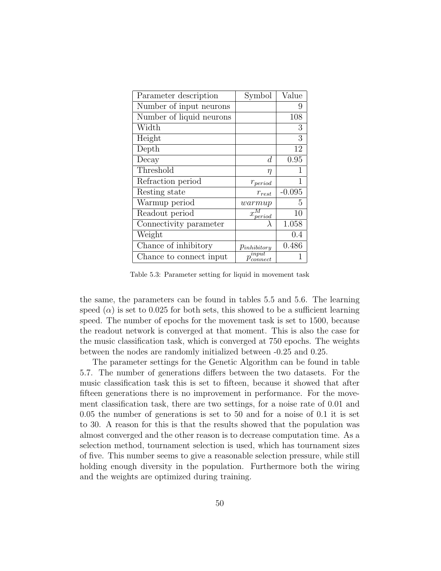<span id="page-51-0"></span>

| Parameter description    | Symbol                           | Value    |
|--------------------------|----------------------------------|----------|
| Number of input neurons  |                                  | 9        |
| Number of liquid neurons |                                  | 108      |
| Width                    |                                  | 3        |
| Height                   |                                  | 3        |
| Depth                    |                                  | 12       |
| Decay                    | d                                | 0.95     |
| Threshold                | η                                |          |
| Refraction period        | $r_{period}$                     |          |
| Resting state            | $r_{rest}$                       | $-0.095$ |
| Warmup period            | warmup                           | 5        |
| Readout period           | $x_{period}^{\prime\prime}$      | 10       |
| Connectivity parameter   |                                  | 1.058    |
| Weight                   |                                  | 0.4      |
| Chance of inhibitory     | $p_{inhibitory}$                 | 0.486    |
| Chance to connect input  | $\overline{p^{input}_{connect}}$ |          |

Table 5.3: Parameter setting for liquid in movement task

the same, the parameters can be found in tables [5.5](#page-53-0) and [5.6.](#page-53-1) The learning speed  $(\alpha)$  is set to 0.025 for both sets, this showed to be a sufficient learning speed. The number of epochs for the movement task is set to 1500, because the readout network is converged at that moment. This is also the case for the music classification task, which is converged at 750 epochs. The weights between the nodes are randomly initialized between -0.25 and 0.25.

The parameter settings for the Genetic Algorithm can be found in table [5.7.](#page-54-0) The number of generations differs between the two datasets. For the music classification task this is set to fifteen, because it showed that after fifteen generations there is no improvement in performance. For the movement classification task, there are two settings, for a noise rate of 0.01 and 0.05 the number of generations is set to 50 and for a noise of 0.1 it is set to 30. A reason for this is that the results showed that the population was almost converged and the other reason is to decrease computation time. As a selection method, tournament selection is used, which has tournament sizes of five. This number seems to give a reasonable selection pressure, while still holding enough diversity in the population. Furthermore both the wiring and the weights are optimized during training.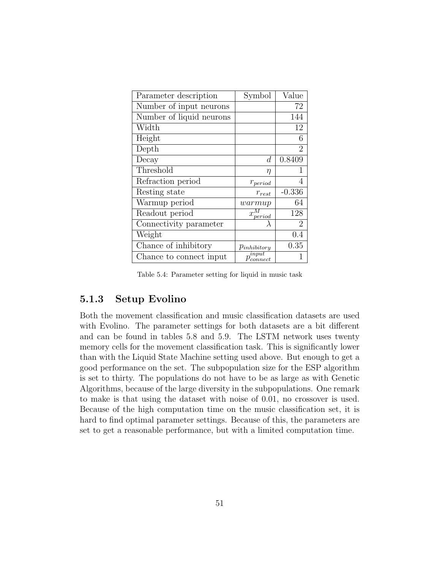<span id="page-52-0"></span>

| Parameter description    | Symbol                 | Value          |
|--------------------------|------------------------|----------------|
| Number of input neurons  |                        | 72             |
| Number of liquid neurons |                        | 144            |
| Width                    |                        | 12             |
| Height                   |                        | 6              |
| Depth                    |                        | $\overline{2}$ |
| Decay                    | d                      | 0.8409         |
| Threshold                | $\eta$                 |                |
| Refraction period        | $r_{period}$           | 4              |
| Resting state            | $r_{rest}$             | $-0.336$       |
| Warmup period            | warmup                 | 64             |
| Readout period           | $x_{period}$           | 128            |
| Connectivity parameter   |                        | 2              |
| Weight                   |                        | 0.4            |
| Chance of inhibitory     | $p_{inhibitory}$       | 0.35           |
| Chance to connect input  | input<br>$p_{connect}$ |                |

Table 5.4: Parameter setting for liquid in music task

#### 5.1.3 Setup Evolino

Both the movement classification and music classification datasets are used with Evolino. The parameter settings for both datasets are a bit different and can be found in tables [5.8](#page-54-1) and [5.9.](#page-55-0) The LSTM network uses twenty memory cells for the movement classification task. This is significantly lower than with the Liquid State Machine setting used above. But enough to get a good performance on the set. The subpopulation size for the ESP algorithm is set to thirty. The populations do not have to be as large as with Genetic Algorithms, because of the large diversity in the subpopulations. One remark to make is that using the dataset with noise of 0.01, no crossover is used. Because of the high computation time on the music classification set, it is hard to find optimal parameter settings. Because of this, the parameters are set to get a reasonable performance, but with a limited computation time.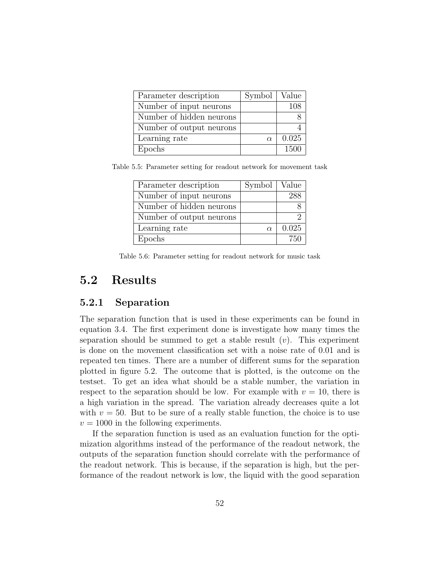<span id="page-53-0"></span>

| Parameter description    | Symbol   Value |       |
|--------------------------|----------------|-------|
| Number of input neurons  |                | 108   |
| Number of hidden neurons |                |       |
| Number of output neurons |                |       |
| Learning rate            | $\alpha$       | 0.025 |
| Epochs                   |                | 1500  |

<span id="page-53-1"></span>Table 5.5: Parameter setting for readout network for movement task

| Parameter description    | Symbol   | Value |
|--------------------------|----------|-------|
| Number of input neurons  |          | 288   |
| Number of hidden neurons |          |       |
| Number of output neurons |          | ٠,    |
| Learning rate            | $\alpha$ | 0.025 |
| Epochs                   |          | 750   |

Table 5.6: Parameter setting for readout network for music task

## 5.2 Results

### 5.2.1 Separation

The separation function that is used in these experiments can be found in equation [3.4.](#page-26-0) The first experiment done is investigate how many times the separation should be summed to get a stable result  $(v)$ . This experiment is done on the movement classification set with a noise rate of 0.01 and is repeated ten times. There are a number of different sums for the separation plotted in figure [5.2.](#page-59-0) The outcome that is plotted, is the outcome on the testset. To get an idea what should be a stable number, the variation in respect to the separation should be low. For example with  $v = 10$ , there is a high variation in the spread. The variation already decreases quite a lot with  $v = 50$ . But to be sure of a really stable function, the choice is to use  $v = 1000$  in the following experiments.

If the separation function is used as an evaluation function for the optimization algorithms instead of the performance of the readout network, the outputs of the separation function should correlate with the performance of the readout network. This is because, if the separation is high, but the performance of the readout network is low, the liquid with the good separation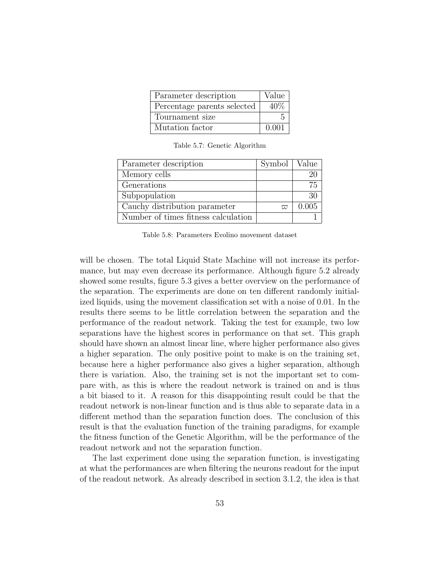<span id="page-54-0"></span>

| Parameter description       | Value  |
|-----------------------------|--------|
| Percentage parents selected | $40\%$ |
| Tournament size             |        |
| Mutation factor             | 0.001  |

Table 5.7: Genetic Algorithm

<span id="page-54-1"></span>

| Parameter description               | Symbol   Value |       |
|-------------------------------------|----------------|-------|
| Memory cells                        |                |       |
| Generations                         |                | 75    |
| Subpopulation                       |                |       |
| Cauchy distribution parameter       | $\varpi$       | 0.005 |
| Number of times fitness calculation |                |       |

Table 5.8: Parameters Evolino movement dataset

will be chosen. The total Liquid State Machine will not increase its performance, but may even decrease its performance. Although figure [5.2](#page-59-0) already showed some results, figure [5.3](#page-60-0) gives a better overview on the performance of the separation. The experiments are done on ten different randomly initialized liquids, using the movement classification set with a noise of 0.01. In the results there seems to be little correlation between the separation and the performance of the readout network. Taking the test for example, two low separations have the highest scores in performance on that set. This graph should have shown an almost linear line, where higher performance also gives a higher separation. The only positive point to make is on the training set, because here a higher performance also gives a higher separation, although there is variation. Also, the training set is not the important set to compare with, as this is where the readout network is trained on and is thus a bit biased to it. A reason for this disappointing result could be that the readout network is non-linear function and is thus able to separate data in a different method than the separation function does. The conclusion of this result is that the evaluation function of the training paradigms, for example the fitness function of the Genetic Algorithm, will be the performance of the readout network and not the separation function.

The last experiment done using the separation function, is investigating at what the performances are when filtering the neurons readout for the input of the readout network. As already described in section [3.1.2,](#page-25-0) the idea is that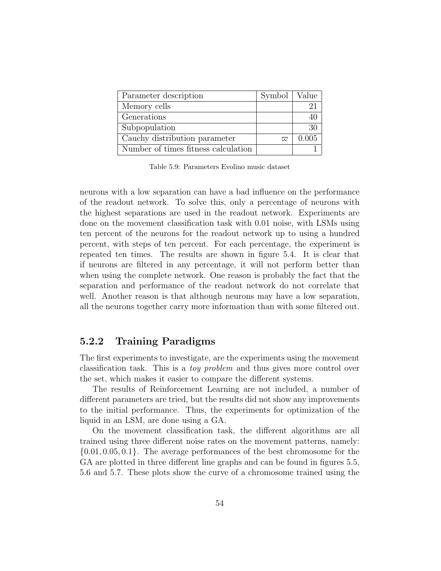<span id="page-55-0"></span>

| Parameter description               | $Symbol \mid Value$ |       |
|-------------------------------------|---------------------|-------|
| Memory cells                        |                     |       |
| Generations                         |                     |       |
| Subpopulation                       |                     | 30    |
| Cauchy distribution parameter       | $\varpi$            | 0.005 |
| Number of times fitness calculation |                     |       |

Table 5.9: Parameters Evolino music dataset

neurons with a low separation can have a bad influence on the performance of the readout network. To solve this, only a percentage of neurons with the highest separations are used in the readout network. Experiments are done on the movement classification task with 0.01 noise, with LSMs using ten percent of the neurons for the readout network up to using a hundred percent, with steps of ten percent. For each percentage, the experiment is repeated ten times. The results are shown in figure [5.4.](#page-61-0) It is clear that if neurons are filtered in any percentage, it will not perform better than when using the complete network. One reason is probably the fact that the separation and performance of the readout network do not correlate that well. Another reason is that although neurons may have a low separation, all the neurons together carry more information than with some filtered out.

#### 5.2.2 Training Paradigms

The first experiments to investigate, are the experiments using the movement classification task. This is a toy problem and thus gives more control over the set, which makes it easier to compare the different systems.

The results of Reinforcement Learning are not included, a number of different parameters are tried, but the results did not show any improvements to the initial performance. Thus, the experiments for optimization of the liquid in an LSM, are done using a GA.

On the movement classification task, the different algorithms are all trained using three different noise rates on the movement patterns, namely:  $\{0.01, 0.05, 0.1\}$ . The average performances of the best chromosome for the GA are plotted in three different line graphs and can be found in figures [5.5,](#page-62-0) [5.6](#page-63-0) and [5.7.](#page-64-0) These plots show the curve of a chromosome trained using the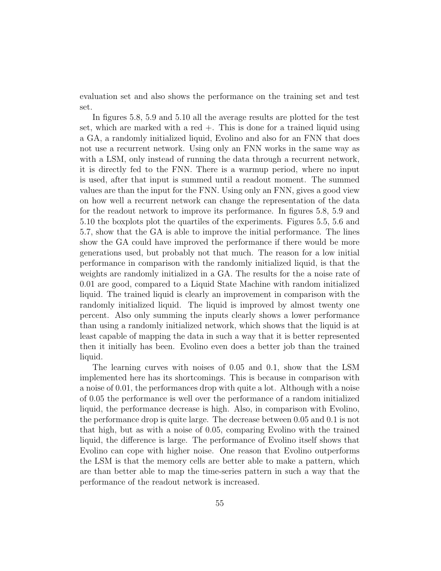evaluation set and also shows the performance on the training set and test set.

In figures [5.8,](#page-65-0) [5.9](#page-66-0) and [5.10](#page-67-0) all the average results are plotted for the test set, which are marked with a red  $+$ . This is done for a trained liquid using a GA, a randomly initialized liquid, Evolino and also for an FNN that does not use a recurrent network. Using only an FNN works in the same way as with a LSM, only instead of running the data through a recurrent network, it is directly fed to the FNN. There is a warmup period, where no input is used, after that input is summed until a readout moment. The summed values are than the input for the FNN. Using only an FNN, gives a good view on how well a recurrent network can change the representation of the data for the readout network to improve its performance. In figures [5.8,](#page-65-0) [5.9](#page-66-0) and [5.10](#page-67-0) the boxplots plot the quartiles of the experiments. Figures [5.5,](#page-62-0) [5.6](#page-63-0) and [5.7,](#page-64-0) show that the GA is able to improve the initial performance. The lines show the GA could have improved the performance if there would be more generations used, but probably not that much. The reason for a low initial performance in comparison with the randomly initialized liquid, is that the weights are randomly initialized in a GA. The results for the a noise rate of 0.01 are good, compared to a Liquid State Machine with random initialized liquid. The trained liquid is clearly an improvement in comparison with the randomly initialized liquid. The liquid is improved by almost twenty one percent. Also only summing the inputs clearly shows a lower performance than using a randomly initialized network, which shows that the liquid is at least capable of mapping the data in such a way that it is better represented then it initially has been. Evolino even does a better job than the trained liquid.

The learning curves with noises of 0.05 and 0.1, show that the LSM implemented here has its shortcomings. This is because in comparison with a noise of 0.01, the performances drop with quite a lot. Although with a noise of 0.05 the performance is well over the performance of a random initialized liquid, the performance decrease is high. Also, in comparison with Evolino, the performance drop is quite large. The decrease between 0.05 and 0.1 is not that high, but as with a noise of 0.05, comparing Evolino with the trained liquid, the difference is large. The performance of Evolino itself shows that Evolino can cope with higher noise. One reason that Evolino outperforms the LSM is that the memory cells are better able to make a pattern, which are than better able to map the time-series pattern in such a way that the performance of the readout network is increased.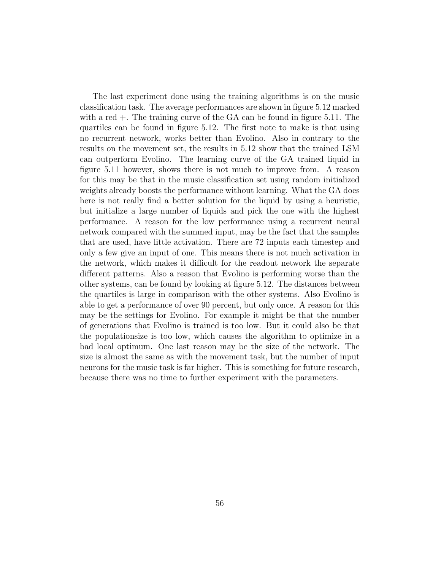The last experiment done using the training algorithms is on the music classification task. The average performances are shown in figure [5.12](#page-69-0) marked with a red +. The training curve of the GA can be found in figure [5.11.](#page-68-0) The quartiles can be found in figure [5.12.](#page-69-0) The first note to make is that using no recurrent network, works better than Evolino. Also in contrary to the results on the movement set, the results in [5.12](#page-69-0) show that the trained LSM can outperform Evolino. The learning curve of the GA trained liquid in figure [5.11](#page-68-0) however, shows there is not much to improve from. A reason for this may be that in the music classification set using random initialized weights already boosts the performance without learning. What the GA does here is not really find a better solution for the liquid by using a heuristic, but initialize a large number of liquids and pick the one with the highest performance. A reason for the low performance using a recurrent neural network compared with the summed input, may be the fact that the samples that are used, have little activation. There are 72 inputs each timestep and only a few give an input of one. This means there is not much activation in the network, which makes it difficult for the readout network the separate different patterns. Also a reason that Evolino is performing worse than the other systems, can be found by looking at figure [5.12.](#page-69-0) The distances between the quartiles is large in comparison with the other systems. Also Evolino is able to get a performance of over 90 percent, but only once. A reason for this may be the settings for Evolino. For example it might be that the number of generations that Evolino is trained is too low. But it could also be that the populationsize is too low, which causes the algorithm to optimize in a bad local optimum. One last reason may be the size of the network. The size is almost the same as with the movement task, but the number of input neurons for the music task is far higher. This is something for future research, because there was no time to further experiment with the parameters.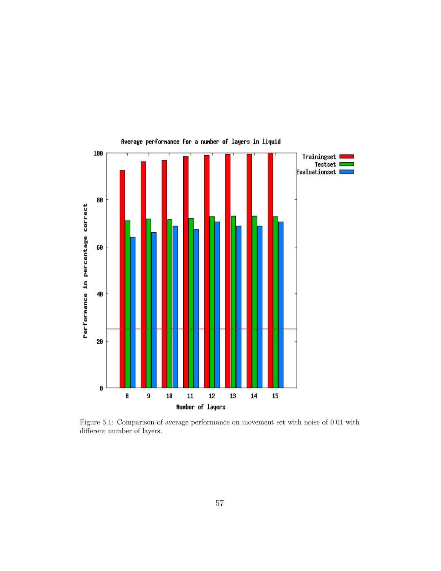<span id="page-58-0"></span>

Figure 5.1: Comparison of average performance on movement set with noise of 0.01 with different number of layers.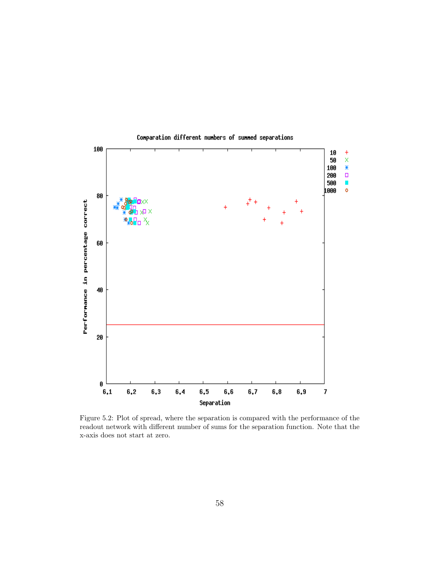<span id="page-59-0"></span>

Figure 5.2: Plot of spread, where the separation is compared with the performance of the readout network with different number of sums for the separation function. Note that the x-axis does not start at zero.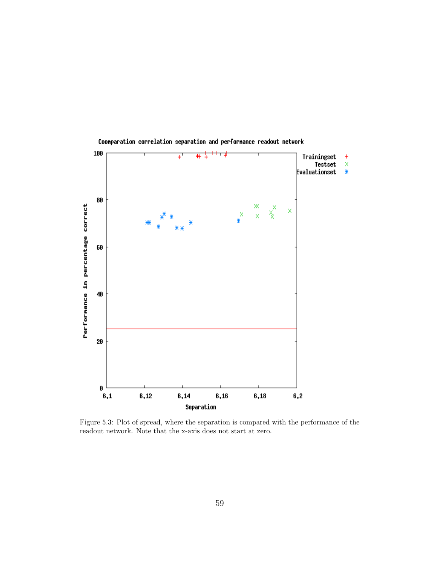

<span id="page-60-0"></span>Coonparation correlation separation and performance readout network

Figure 5.3: Plot of spread, where the separation is compared with the performance of the readout network. Note that the x-axis does not start at zero.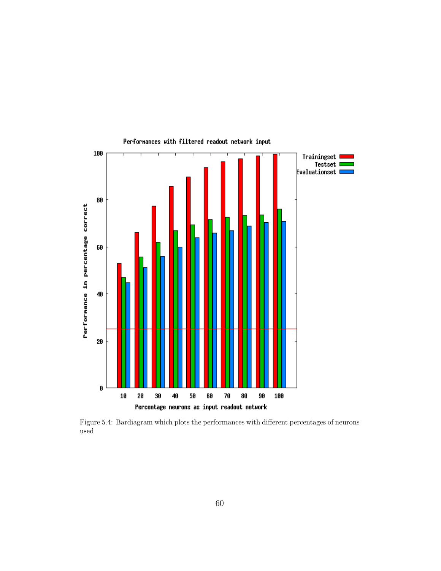<span id="page-61-0"></span>

Performances with filtered readout network input

Figure 5.4: Bardiagram which plots the performances with different percentages of neurons used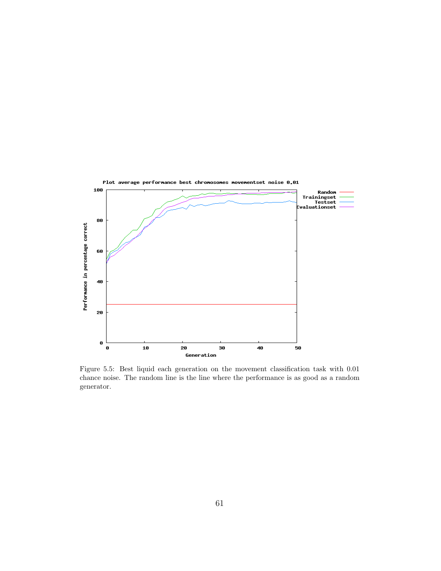<span id="page-62-0"></span>

Figure 5.5: Best liquid each generation on the movement classification task with 0.01 chance noise. The random line is the line where the performance is as good as a random generator.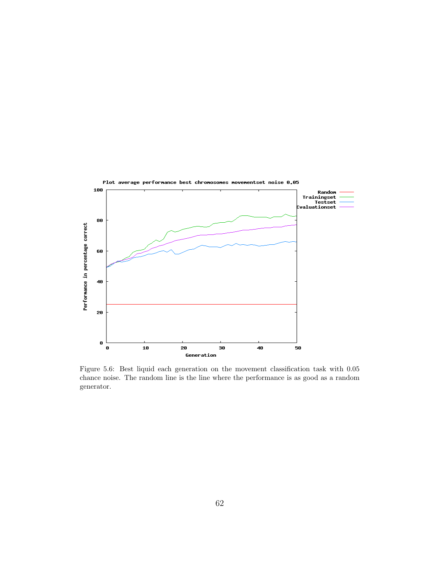<span id="page-63-0"></span>

Figure 5.6: Best liquid each generation on the movement classification task with 0.05 chance noise. The random line is the line where the performance is as good as a random generator.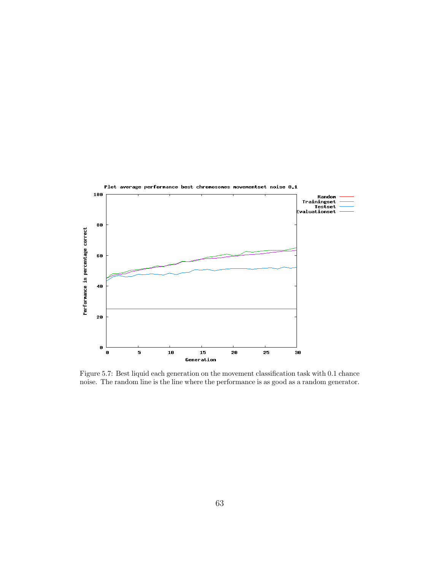<span id="page-64-0"></span>

Figure 5.7: Best liquid each generation on the movement classification task with 0.1 chance noise. The random line is the line where the performance is as good as a random generator.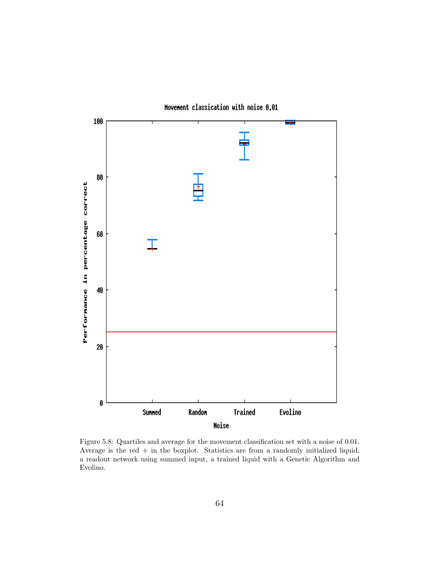<span id="page-65-0"></span>

Movement classication with noise 0.01

Figure 5.8: Quartiles and average for the movement classification set with a noise of 0.01. Average is the red  $+$  in the boxplot. Statistics are from a randomly initialized liquid, a readout network using summed input, a trained liquid with a Genetic Algorithm and Evolino.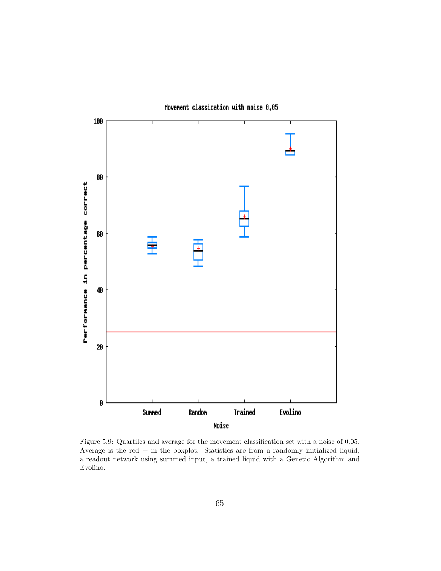<span id="page-66-0"></span>

Movement classication with noise 0.05

Figure 5.9: Quartiles and average for the movement classification set with a noise of 0.05. Average is the red  $+$  in the boxplot. Statistics are from a randomly initialized liquid, a readout network using summed input, a trained liquid with a Genetic Algorithm and Evolino.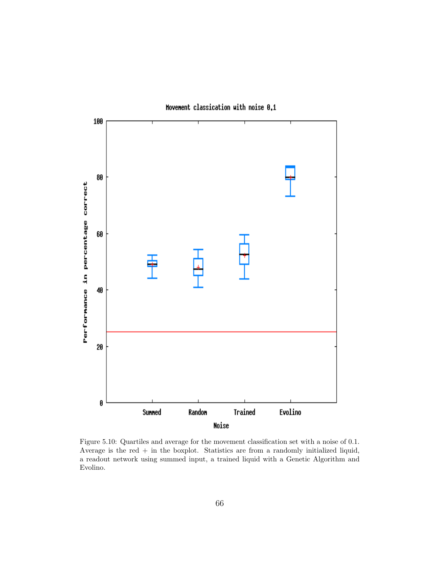<span id="page-67-0"></span>

Figure 5.10: Quartiles and average for the movement classification set with a noise of 0.1. Average is the red  $+$  in the boxplot. Statistics are from a randomly initialized liquid, a readout network using summed input, a trained liquid with a Genetic Algorithm and Evolino.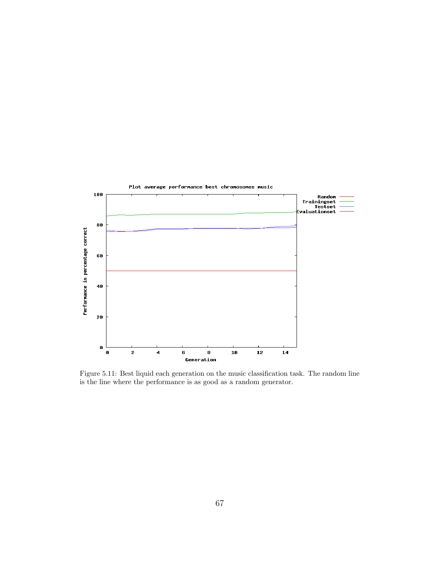<span id="page-68-0"></span>

Figure 5.11: Best liquid each generation on the music classification task. The random line is the line where the performance is as good as a random generator.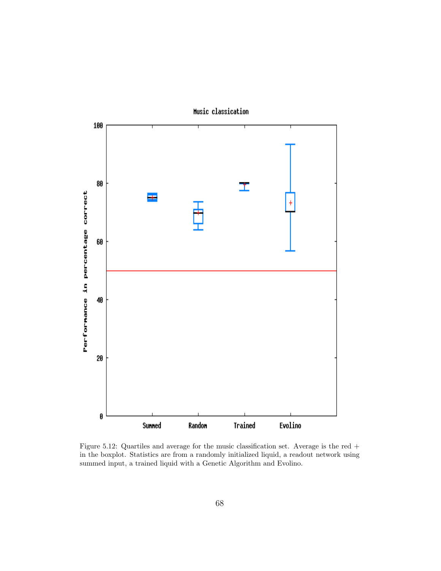<span id="page-69-0"></span>

Figure 5.12: Quartiles and average for the music classification set. Average is the red + in the boxplot. Statistics are from a randomly initialized liquid, a readout network using summed input, a trained liquid with a Genetic Algorithm and Evolino.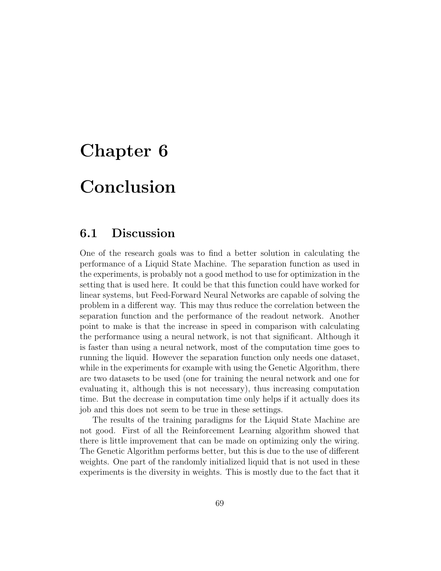# Chapter 6

# Conclusion

## 6.1 Discussion

One of the research goals was to find a better solution in calculating the performance of a Liquid State Machine. The separation function as used in the experiments, is probably not a good method to use for optimization in the setting that is used here. It could be that this function could have worked for linear systems, but Feed-Forward Neural Networks are capable of solving the problem in a different way. This may thus reduce the correlation between the separation function and the performance of the readout network. Another point to make is that the increase in speed in comparison with calculating the performance using a neural network, is not that significant. Although it is faster than using a neural network, most of the computation time goes to running the liquid. However the separation function only needs one dataset, while in the experiments for example with using the Genetic Algorithm, there are two datasets to be used (one for training the neural network and one for evaluating it, although this is not necessary), thus increasing computation time. But the decrease in computation time only helps if it actually does its job and this does not seem to be true in these settings.

The results of the training paradigms for the Liquid State Machine are not good. First of all the Reinforcement Learning algorithm showed that there is little improvement that can be made on optimizing only the wiring. The Genetic Algorithm performs better, but this is due to the use of different weights. One part of the randomly initialized liquid that is not used in these experiments is the diversity in weights. This is mostly due to the fact that it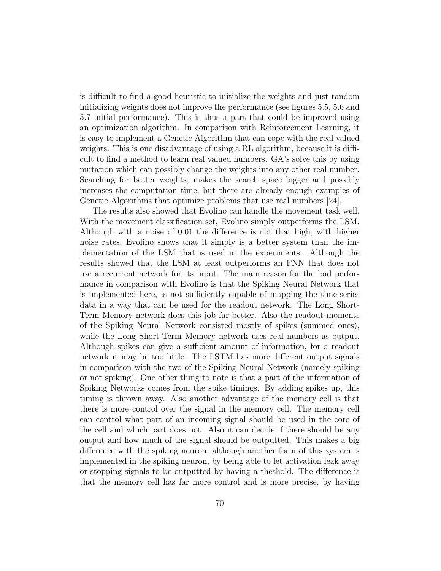is difficult to find a good heuristic to initialize the weights and just random initializing weights does not improve the performance (see figures [5.5,](#page-62-0) [5.6](#page-63-0) and [5.7](#page-64-0) initial performance). This is thus a part that could be improved using an optimization algorithm. In comparison with Reinforcement Learning, it is easy to implement a Genetic Algorithm that can cope with the real valued weights. This is one disadvantage of using a RL algorithm, because it is difficult to find a method to learn real valued numbers. GA's solve this by using mutation which can possibly change the weights into any other real number. Searching for better weights, makes the search space bigger and possibly increases the computation time, but there are already enough examples of Genetic Algorithms that optimize problems that use real numbers [\[24\]](#page-81-1).

The results also showed that Evolino can handle the movement task well. With the movement classification set, Evolino simply outperforms the LSM. Although with a noise of 0.01 the difference is not that high, with higher noise rates, Evolino shows that it simply is a better system than the implementation of the LSM that is used in the experiments. Although the results showed that the LSM at least outperforms an FNN that does not use a recurrent network for its input. The main reason for the bad performance in comparison with Evolino is that the Spiking Neural Network that is implemented here, is not sufficiently capable of mapping the time-series data in a way that can be used for the readout network. The Long Short-Term Memory network does this job far better. Also the readout moments of the Spiking Neural Network consisted mostly of spikes (summed ones), while the Long Short-Term Memory network uses real numbers as output. Although spikes can give a sufficient amount of information, for a readout network it may be too little. The LSTM has more different output signals in comparison with the two of the Spiking Neural Network (namely spiking or not spiking). One other thing to note is that a part of the information of Spiking Networks comes from the spike timings. By adding spikes up, this timing is thrown away. Also another advantage of the memory cell is that there is more control over the signal in the memory cell. The memory cell can control what part of an incoming signal should be used in the core of the cell and which part does not. Also it can decide if there should be any output and how much of the signal should be outputted. This makes a big difference with the spiking neuron, although another form of this system is implemented in the spiking neuron, by being able to let activation leak away or stopping signals to be outputted by having a theshold. The difference is that the memory cell has far more control and is more precise, by having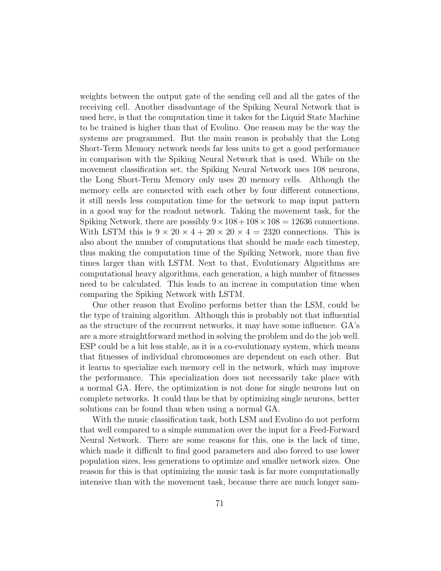weights between the output gate of the sending cell and all the gates of the receiving cell. Another disadvantage of the Spiking Neural Network that is used here, is that the computation time it takes for the Liquid State Machine to be trained is higher than that of Evolino. One reason may be the way the systems are programmed. But the main reason is probably that the Long Short-Term Memory network needs far less units to get a good performance in comparison with the Spiking Neural Network that is used. While on the movement classification set, the Spiking Neural Network uses 108 neurons, the Long Short-Term Memory only uses 20 memory cells. Although the memory cells are connected with each other by four different connections, it still needs less computation time for the network to map input pattern in a good way for the readout network. Taking the movement task, for the Spiking Network, there are possibly  $9 \times 108 + 108 \times 108 = 12636$  connections. With LSTM this is  $9 \times 20 \times 4 + 20 \times 20 \times 4 = 2320$  connections. This is also about the number of computations that should be made each timestep, thus making the computation time of the Spiking Network, more than five times larger than with LSTM. Next to that, Evolutionary Algorithms are computational heavy algorithms, each generation, a high number of fitnesses need to be calculated. This leads to an increae in computation time when comparing the Spiking Network with LSTM.

One other reason that Evolino performs better than the LSM, could be the type of training algorithm. Although this is probably not that influential as the structure of the recurrent networks, it may have some influence. GA's are a more straightforward method in solving the problem and do the job well. ESP could be a bit less stable, as it is a co-evolutionary system, which means that fitnesses of individual chromosomes are dependent on each other. But it learns to specialize each memory cell in the network, which may improve the performance. This specialization does not necessarily take place with a normal GA. Here, the optimization is not done for single neurons but on complete networks. It could thus be that by optimizing single neurons, better solutions can be found than when using a normal GA.

With the music classification task, both LSM and Evolino do not perform that well compared to a simple summation over the input for a Feed-Forward Neural Network. There are some reasons for this, one is the lack of time, which made it difficult to find good parameters and also forced to use lower population sizes, less generations to optimize and smaller network sizes. One reason for this is that optimizing the music task is far more computationally intensive than with the movement task, because there are much longer sam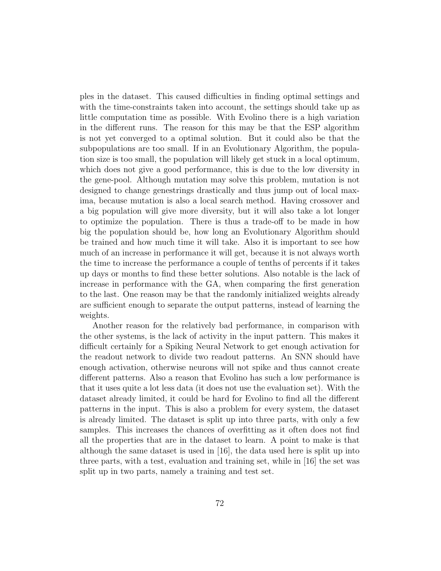ples in the dataset. This caused difficulties in finding optimal settings and with the time-constraints taken into account, the settings should take up as little computation time as possible. With Evolino there is a high variation in the different runs. The reason for this may be that the ESP algorithm is not yet converged to a optimal solution. But it could also be that the subpopulations are too small. If in an Evolutionary Algorithm, the population size is too small, the population will likely get stuck in a local optimum, which does not give a good performance, this is due to the low diversity in the gene-pool. Although mutation may solve this problem, mutation is not designed to change genestrings drastically and thus jump out of local maxima, because mutation is also a local search method. Having crossover and a big population will give more diversity, but it will also take a lot longer to optimize the population. There is thus a trade-off to be made in how big the population should be, how long an Evolutionary Algorithm should be trained and how much time it will take. Also it is important to see how much of an increase in performance it will get, because it is not always worth the time to increase the performance a couple of tenths of percents if it takes up days or months to find these better solutions. Also notable is the lack of increase in performance with the GA, when comparing the first generation to the last. One reason may be that the randomly initialized weights already are sufficient enough to separate the output patterns, instead of learning the weights.

Another reason for the relatively bad performance, in comparison with the other systems, is the lack of activity in the input pattern. This makes it difficult certainly for a Spiking Neural Network to get enough activation for the readout network to divide two readout patterns. An SNN should have enough activation, otherwise neurons will not spike and thus cannot create different patterns. Also a reason that Evolino has such a low performance is that it uses quite a lot less data (it does not use the evaluation set). With the dataset already limited, it could be hard for Evolino to find all the different patterns in the input. This is also a problem for every system, the dataset is already limited. The dataset is split up into three parts, with only a few samples. This increases the chances of overfitting as it often does not find all the properties that are in the dataset to learn. A point to make is that although the same dataset is used in [\[16\]](#page-80-0), the data used here is split up into three parts, with a test, evaluation and training set, while in [\[16\]](#page-80-0) the set was split up in two parts, namely a training and test set.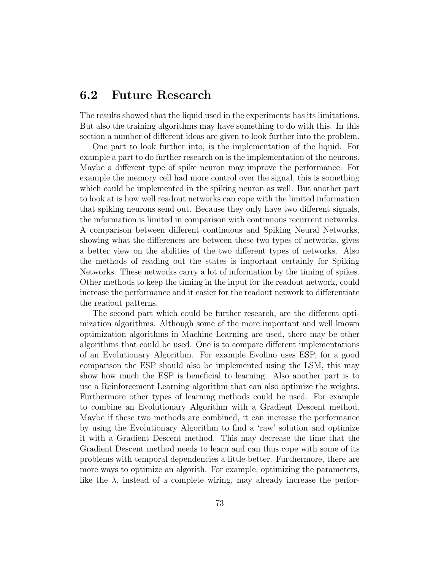## 6.2 Future Research

The results showed that the liquid used in the experiments has its limitations. But also the training algorithms may have something to do with this. In this section a number of different ideas are given to look further into the problem.

One part to look further into, is the implementation of the liquid. For example a part to do further research on is the implementation of the neurons. Maybe a different type of spike neuron may improve the performance. For example the memory cell had more control over the signal, this is something which could be implemented in the spiking neuron as well. But another part to look at is how well readout networks can cope with the limited information that spiking neurons send out. Because they only have two different signals, the information is limited in comparison with continuous recurrent networks. A comparison between different continuous and Spiking Neural Networks, showing what the differences are between these two types of networks, gives a better view on the abilities of the two different types of networks. Also the methods of reading out the states is important certainly for Spiking Networks. These networks carry a lot of information by the timing of spikes. Other methods to keep the timing in the input for the readout network, could increase the performance and it easier for the readout network to differentiate the readout patterns.

The second part which could be further research, are the different optimization algorithms. Although some of the more important and well known optimization algorithms in Machine Learning are used, there may be other algorithms that could be used. One is to compare different implementations of an Evolutionary Algorithm. For example Evolino uses ESP, for a good comparison the ESP should also be implemented using the LSM, this may show how much the ESP is beneficial to learning. Also another part is to use a Reinforcement Learning algorithm that can also optimize the weights. Furthermore other types of learning methods could be used. For example to combine an Evolutionary Algorithm with a Gradient Descent method. Maybe if these two methods are combined, it can increase the performance by using the Evolutionary Algorithm to find a 'raw' solution and optimize it with a Gradient Descent method. This may decrease the time that the Gradient Descent method needs to learn and can thus cope with some of its problems with temporal dependencies a little better. Furthermore, there are more ways to optimize an algorith. For example, optimizing the parameters, like the  $\lambda$ , instead of a complete wiring, may already increase the perfor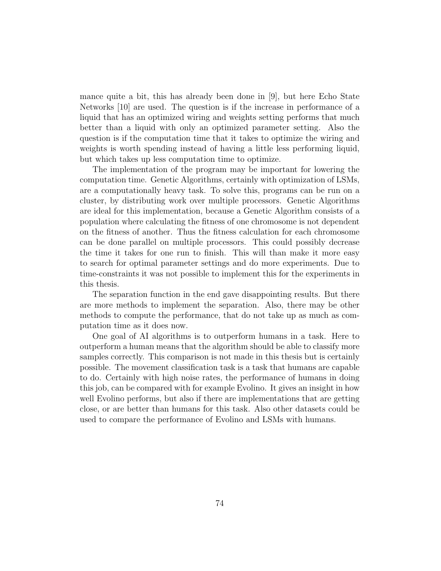mance quite a bit, this has already been done in [\[9\]](#page-79-0), but here Echo State Networks [\[10\]](#page-80-1) are used. The question is if the increase in performance of a liquid that has an optimized wiring and weights setting performs that much better than a liquid with only an optimized parameter setting. Also the question is if the computation time that it takes to optimize the wiring and weights is worth spending instead of having a little less performing liquid, but which takes up less computation time to optimize.

The implementation of the program may be important for lowering the computation time. Genetic Algorithms, certainly with optimization of LSMs, are a computationally heavy task. To solve this, programs can be run on a cluster, by distributing work over multiple processors. Genetic Algorithms are ideal for this implementation, because a Genetic Algorithm consists of a population where calculating the fitness of one chromosome is not dependent on the fitness of another. Thus the fitness calculation for each chromosome can be done parallel on multiple processors. This could possibly decrease the time it takes for one run to finish. This will than make it more easy to search for optimal parameter settings and do more experiments. Due to time-constraints it was not possible to implement this for the experiments in this thesis.

The separation function in the end gave disappointing results. But there are more methods to implement the separation. Also, there may be other methods to compute the performance, that do not take up as much as computation time as it does now.

One goal of AI algorithms is to outperform humans in a task. Here to outperform a human means that the algorithm should be able to classify more samples correctly. This comparison is not made in this thesis but is certainly possible. The movement classification task is a task that humans are capable to do. Certainly with high noise rates, the performance of humans in doing this job, can be compared with for example Evolino. It gives an insight in how well Evolino performs, but also if there are implementations that are getting close, or are better than humans for this task. Also other datasets could be used to compare the performance of Evolino and LSMs with humans.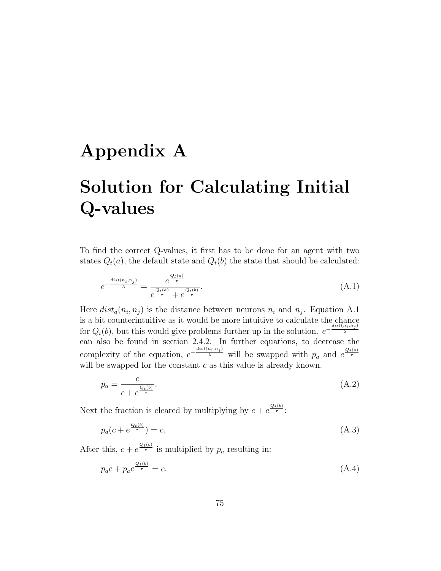## Appendix A

## Solution for Calculating Initial Q-values

To find the correct Q-values, it first has to be done for an agent with two states  $Q_t(a)$ , the default state and  $Q_t(b)$  the state that should be calculated:

<span id="page-76-0"></span>
$$
e^{-\frac{dist(n_i, n_j)}{\lambda}} = \frac{e^{\frac{Q_t(a)}{\tau}}}{e^{\frac{Q_t(a)}{\tau}} + e^{\frac{Q_t(b)}{\tau}}}.
$$
\n(A.1)

Here  $dist_a(n_i, n_j)$  is the distance between neurons  $n_i$  and  $n_j$ . Equation [A.1](#page-76-0) is a bit counterintuitive as it would be more intuitive to calculate the chance for  $Q_t(b)$ , but this would give problems further up in the solution.  $e^{-\frac{dist(n_i, n_j)}{\lambda}}$ λ can also be found in section [2.4.2.](#page-20-0) In further equations, to decrease the complexity of the equation,  $e^{-\frac{dist(n_i, n_j)}{\lambda}}$  will be swapped with  $p_a$  and  $e^{\frac{Q_t(s)}{\tau}}$ will be swapped for the constant  $c$  as this value is already known.

$$
p_a = \frac{c}{c + e^{\frac{Q_t(b)}{\tau}}}.\tag{A.2}
$$

Next the fraction is cleared by multiplying by  $c + e^{\frac{Q_t(b)}{\tau}}$ :

$$
p_a(c + e^{\frac{Q_t(b)}{\tau}}) = c.
$$
\n(A.3)

After this,  $c + e^{\frac{Q_t(b)}{\tau}}$  is multiplied by  $p_a$  resulting in:

$$
p_a c + p_a e^{\frac{Q_t(b)}{\tau}} = c. \tag{A.4}
$$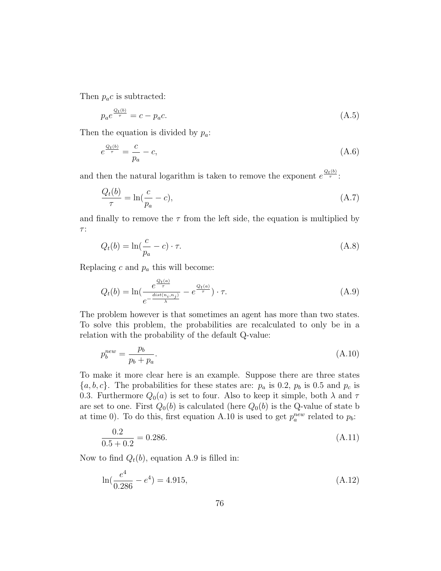Then  $p_a c$  is subtracted:

$$
p_a e^{\frac{Q_t(b)}{\tau}} = c - p_a c. \tag{A.5}
$$

Then the equation is divided by  $p_a$ :

$$
e^{\frac{Q_t(b)}{\tau}} = \frac{c}{p_a} - c,\tag{A.6}
$$

and then the natural logarithm is taken to remove the exponent  $e^{\frac{Q_t(b)}{\tau}}$ :

$$
\frac{Q_t(b)}{\tau} = \ln(\frac{c}{p_a} - c),\tag{A.7}
$$

and finally to remove the  $\tau$  from the left side, the equation is multiplied by  $\tau$  :

$$
Q_t(b) = \ln(\frac{c}{p_a} - c) \cdot \tau.
$$
\n(A.8)

Replacing  $c$  and  $p_a$  this will become:

<span id="page-77-1"></span>
$$
Q_t(b) = \ln\left(\frac{e^{\frac{Q_t(a)}{\tau}}}{e^{-\frac{dist(n_i, n_j)}{\lambda}}} - e^{\frac{Q_t(a)}{\tau}}\right) \cdot \tau.
$$
\n(A.9)

The problem however is that sometimes an agent has more than two states. To solve this problem, the probabilities are recalculated to only be in a relation with the probability of the default Q-value:

<span id="page-77-0"></span>
$$
p_b^{new} = \frac{p_b}{p_b + p_a}.\tag{A.10}
$$

To make it more clear here is an example. Suppose there are three states  $\{a, b, c\}$ . The probabilities for these states are:  $p_a$  is 0.2,  $p_b$  is 0.5 and  $p_c$  is 0.3. Furthermore  $Q_0(a)$  is set to four. Also to keep it simple, both  $\lambda$  and  $\tau$ are set to one. First  $Q_0(b)$  is calculated (here  $Q_0(b)$  is the Q-value of state b at time 0). To do this, first equation [A.10](#page-77-0) is used to get  $p_a^{new}$  related to  $p_b$ :

$$
\frac{0.2}{0.5 + 0.2} = 0.286.\tag{A.11}
$$

Now to find  $Q_t(b)$ , equation [A.9](#page-77-1) is filled in:

$$
\ln(\frac{e^4}{0.286} - e^4) = 4.915,\tag{A.12}
$$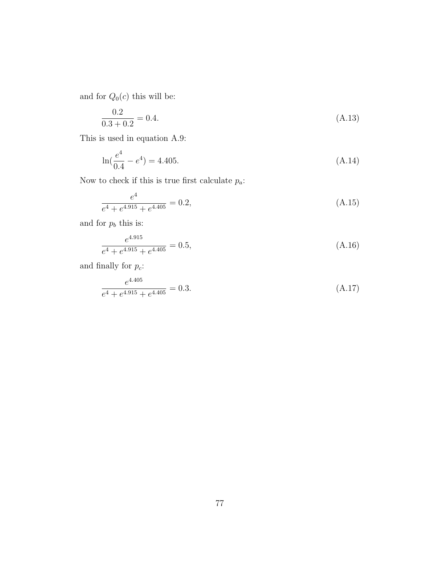and for  ${\mathcal{Q}}_0(c)$  this will be:

$$
\frac{0.2}{0.3 + 0.2} = 0.4.\tag{A.13}
$$

This is used in equation [A.9:](#page-77-1)

$$
\ln(\frac{e^4}{0.4} - e^4) = 4.405. \tag{A.14}
$$

Now to check if this is true first calculate  $p_{\boldsymbol{a}}\text{:}$ 

$$
\frac{e^4}{e^4 + e^{4.915} + e^{4.405}} = 0.2,
$$
\n(A.15)

and for  $p_b$  this is:

$$
\frac{e^{4.915}}{e^4 + e^{4.915} + e^{4.405}} = 0.5,
$$
\n(A.16)

and finally for  $p_c$ :

$$
\frac{e^{4.405}}{e^4 + e^{4.915} + e^{4.405}} = 0.3.
$$
\n(A.17)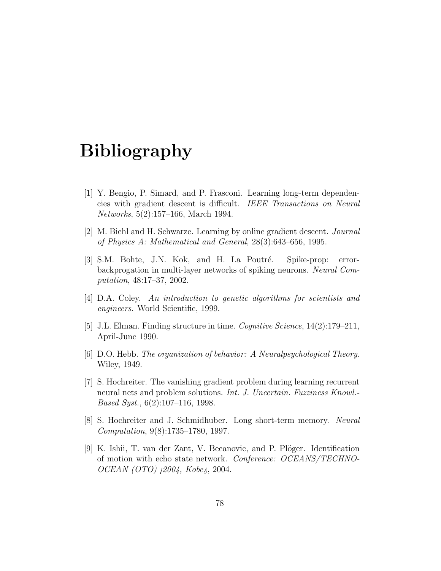## Bibliography

- [1] Y. Bengio, P. Simard, and P. Frasconi. Learning long-term dependencies with gradient descent is difficult. IEEE Transactions on Neural Networks, 5(2):157–166, March 1994.
- [2] M. Biehl and H. Schwarze. Learning by online gradient descent. Journal of Physics A: Mathematical and General, 28(3):643–656, 1995.
- [3] S.M. Bohte, J.N. Kok, and H. La Poutré. Spike-prop: errorbackprogation in multi-layer networks of spiking neurons. Neural Computation, 48:17–37, 2002.
- [4] D.A. Coley. An introduction to genetic algorithms for scientists and engineers. World Scientific, 1999.
- [5] J.L. Elman. Finding structure in time. Cognitive Science, 14(2):179–211, April-June 1990.
- [6] D.O. Hebb. The organization of behavior: A Neuralpsychological Theory. Wiley, 1949.
- [7] S. Hochreiter. The vanishing gradient problem during learning recurrent neural nets and problem solutions. *Int. J. Uncertain. Fuzziness Knowl.*-Based Syst., 6(2):107–116, 1998.
- [8] S. Hochreiter and J. Schmidhuber. Long short-term memory. Neural Computation, 9(8):1735–1780, 1997.
- <span id="page-79-0"></span>[9] K. Ishii, T. van der Zant, V. Becanovic, and P. Plöger. Identification of motion with echo state network. Conference: OCEANS/TECHNO-OCEAN (OTO) ¡2004, Kobe¿, 2004.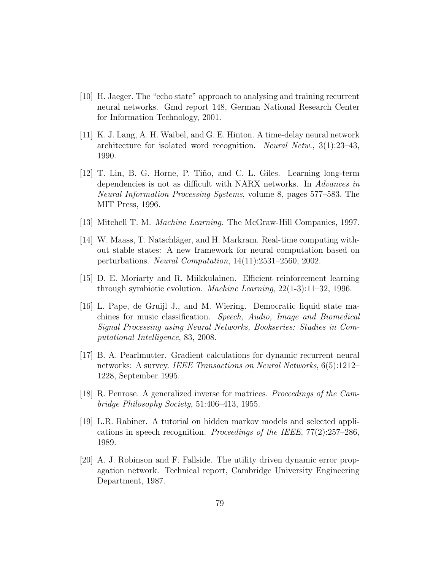- <span id="page-80-1"></span>[10] H. Jaeger. The "echo state" approach to analysing and training recurrent neural networks. Gmd report 148, German National Research Center for Information Technology, 2001.
- [11] K. J. Lang, A. H. Waibel, and G. E. Hinton. A time-delay neural network architecture for isolated word recognition. Neural Netw., 3(1):23–43, 1990.
- [12] T. Lin, B. G. Horne, P. Tiño, and C. L. Giles. Learning long-term dependencies is not as difficult with NARX networks. In Advances in Neural Information Processing Systems, volume 8, pages 577–583. The MIT Press, 1996.
- [13] Mitchell T. M. Machine Learning. The McGraw-Hill Companies, 1997.
- [14] W. Maass, T. Natschläger, and H. Markram. Real-time computing without stable states: A new framework for neural computation based on perturbations. Neural Computation, 14(11):2531–2560, 2002.
- [15] D. E. Moriarty and R. Miikkulainen. Efficient reinforcement learning through symbiotic evolution. Machine Learning, 22(1-3):11–32, 1996.
- <span id="page-80-0"></span>[16] L. Pape, de Gruijl J., and M. Wiering. Democratic liquid state machines for music classification. Speech, Audio, Image and Biomedical Signal Processing using Neural Networks, Bookseries: Studies in Computational Intelligence, 83, 2008.
- [17] B. A. Pearlmutter. Gradient calculations for dynamic recurrent neural networks: A survey. IEEE Transactions on Neural Networks, 6(5):1212– 1228, September 1995.
- [18] R. Penrose. A generalized inverse for matrices. Proceedings of the Cambridge Philosophy Society, 51:406–413, 1955.
- [19] L.R. Rabiner. A tutorial on hidden markov models and selected applications in speech recognition. Proceedings of the IEEE,  $77(2):257-286$ , 1989.
- [20] A. J. Robinson and F. Fallside. The utility driven dynamic error propagation network. Technical report, Cambridge University Engineering Department, 1987.